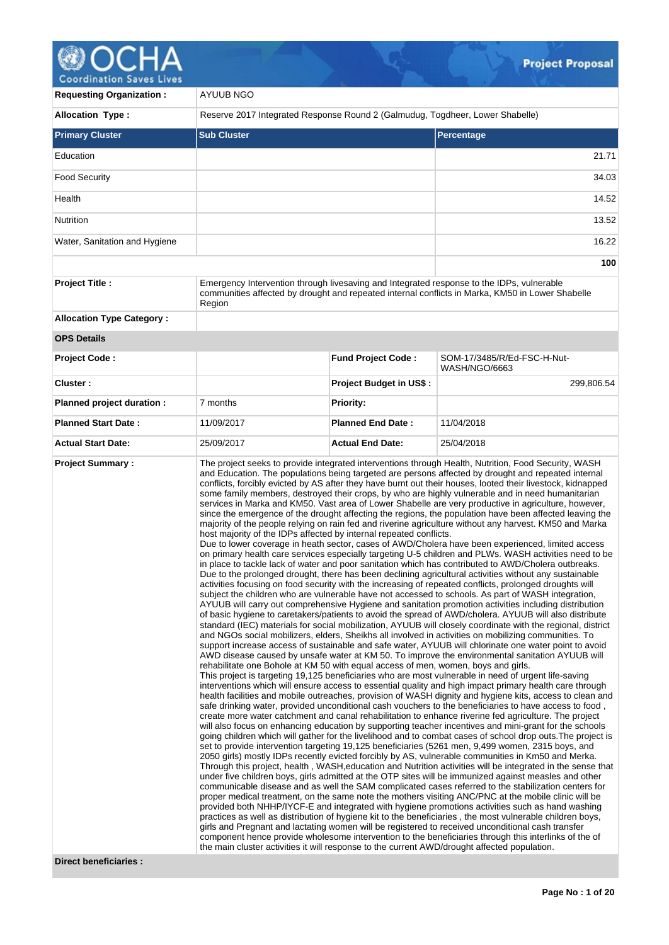# **OCHA**

| <b>Requesting Organization:</b>  | AYUUB NGO                                                                                                                                                                                             |                                                                                                                                                                                                                                                                                                                                                                                                                                                                                                                                                                                                                                                                                                                                                                                                                                                                                                                                                                                                                                                                                                                                                                                                                                                                                                                                                                                                                                                                                                                                                                                                                                                                                                                                                                                                                                                                                                                                                                                                                                                                                                                                                                                                                                                                                                                                                                                                                                                                                                                                                                                                                                                                                                                                                                                                                                                                                                                                                                                                                                                                                                                                                                                                                                                                                                                                                                                                                                                                                                                                                                                                                                                                                                                                                                                                                                                                                                                                                                                      |                                                                                                  |  |  |
|----------------------------------|-------------------------------------------------------------------------------------------------------------------------------------------------------------------------------------------------------|--------------------------------------------------------------------------------------------------------------------------------------------------------------------------------------------------------------------------------------------------------------------------------------------------------------------------------------------------------------------------------------------------------------------------------------------------------------------------------------------------------------------------------------------------------------------------------------------------------------------------------------------------------------------------------------------------------------------------------------------------------------------------------------------------------------------------------------------------------------------------------------------------------------------------------------------------------------------------------------------------------------------------------------------------------------------------------------------------------------------------------------------------------------------------------------------------------------------------------------------------------------------------------------------------------------------------------------------------------------------------------------------------------------------------------------------------------------------------------------------------------------------------------------------------------------------------------------------------------------------------------------------------------------------------------------------------------------------------------------------------------------------------------------------------------------------------------------------------------------------------------------------------------------------------------------------------------------------------------------------------------------------------------------------------------------------------------------------------------------------------------------------------------------------------------------------------------------------------------------------------------------------------------------------------------------------------------------------------------------------------------------------------------------------------------------------------------------------------------------------------------------------------------------------------------------------------------------------------------------------------------------------------------------------------------------------------------------------------------------------------------------------------------------------------------------------------------------------------------------------------------------------------------------------------------------------------------------------------------------------------------------------------------------------------------------------------------------------------------------------------------------------------------------------------------------------------------------------------------------------------------------------------------------------------------------------------------------------------------------------------------------------------------------------------------------------------------------------------------------------------------------------------------------------------------------------------------------------------------------------------------------------------------------------------------------------------------------------------------------------------------------------------------------------------------------------------------------------------------------------------------------------------------------------------------------------------------------------------------------|--------------------------------------------------------------------------------------------------|--|--|
| <b>Allocation Type:</b>          | Reserve 2017 Integrated Response Round 2 (Galmudug, Togdheer, Lower Shabelle)                                                                                                                         |                                                                                                                                                                                                                                                                                                                                                                                                                                                                                                                                                                                                                                                                                                                                                                                                                                                                                                                                                                                                                                                                                                                                                                                                                                                                                                                                                                                                                                                                                                                                                                                                                                                                                                                                                                                                                                                                                                                                                                                                                                                                                                                                                                                                                                                                                                                                                                                                                                                                                                                                                                                                                                                                                                                                                                                                                                                                                                                                                                                                                                                                                                                                                                                                                                                                                                                                                                                                                                                                                                                                                                                                                                                                                                                                                                                                                                                                                                                                                                                      |                                                                                                  |  |  |
| <b>Primary Cluster</b>           | <b>Sub Cluster</b>                                                                                                                                                                                    |                                                                                                                                                                                                                                                                                                                                                                                                                                                                                                                                                                                                                                                                                                                                                                                                                                                                                                                                                                                                                                                                                                                                                                                                                                                                                                                                                                                                                                                                                                                                                                                                                                                                                                                                                                                                                                                                                                                                                                                                                                                                                                                                                                                                                                                                                                                                                                                                                                                                                                                                                                                                                                                                                                                                                                                                                                                                                                                                                                                                                                                                                                                                                                                                                                                                                                                                                                                                                                                                                                                                                                                                                                                                                                                                                                                                                                                                                                                                                                                      | <b>Percentage</b>                                                                                |  |  |
| Education                        |                                                                                                                                                                                                       |                                                                                                                                                                                                                                                                                                                                                                                                                                                                                                                                                                                                                                                                                                                                                                                                                                                                                                                                                                                                                                                                                                                                                                                                                                                                                                                                                                                                                                                                                                                                                                                                                                                                                                                                                                                                                                                                                                                                                                                                                                                                                                                                                                                                                                                                                                                                                                                                                                                                                                                                                                                                                                                                                                                                                                                                                                                                                                                                                                                                                                                                                                                                                                                                                                                                                                                                                                                                                                                                                                                                                                                                                                                                                                                                                                                                                                                                                                                                                                                      | 21.71                                                                                            |  |  |
| <b>Food Security</b>             |                                                                                                                                                                                                       |                                                                                                                                                                                                                                                                                                                                                                                                                                                                                                                                                                                                                                                                                                                                                                                                                                                                                                                                                                                                                                                                                                                                                                                                                                                                                                                                                                                                                                                                                                                                                                                                                                                                                                                                                                                                                                                                                                                                                                                                                                                                                                                                                                                                                                                                                                                                                                                                                                                                                                                                                                                                                                                                                                                                                                                                                                                                                                                                                                                                                                                                                                                                                                                                                                                                                                                                                                                                                                                                                                                                                                                                                                                                                                                                                                                                                                                                                                                                                                                      | 34.03                                                                                            |  |  |
| Health                           | 14.52                                                                                                                                                                                                 |                                                                                                                                                                                                                                                                                                                                                                                                                                                                                                                                                                                                                                                                                                                                                                                                                                                                                                                                                                                                                                                                                                                                                                                                                                                                                                                                                                                                                                                                                                                                                                                                                                                                                                                                                                                                                                                                                                                                                                                                                                                                                                                                                                                                                                                                                                                                                                                                                                                                                                                                                                                                                                                                                                                                                                                                                                                                                                                                                                                                                                                                                                                                                                                                                                                                                                                                                                                                                                                                                                                                                                                                                                                                                                                                                                                                                                                                                                                                                                                      |                                                                                                  |  |  |
| Nutrition                        |                                                                                                                                                                                                       |                                                                                                                                                                                                                                                                                                                                                                                                                                                                                                                                                                                                                                                                                                                                                                                                                                                                                                                                                                                                                                                                                                                                                                                                                                                                                                                                                                                                                                                                                                                                                                                                                                                                                                                                                                                                                                                                                                                                                                                                                                                                                                                                                                                                                                                                                                                                                                                                                                                                                                                                                                                                                                                                                                                                                                                                                                                                                                                                                                                                                                                                                                                                                                                                                                                                                                                                                                                                                                                                                                                                                                                                                                                                                                                                                                                                                                                                                                                                                                                      |                                                                                                  |  |  |
| Water, Sanitation and Hygiene    |                                                                                                                                                                                                       |                                                                                                                                                                                                                                                                                                                                                                                                                                                                                                                                                                                                                                                                                                                                                                                                                                                                                                                                                                                                                                                                                                                                                                                                                                                                                                                                                                                                                                                                                                                                                                                                                                                                                                                                                                                                                                                                                                                                                                                                                                                                                                                                                                                                                                                                                                                                                                                                                                                                                                                                                                                                                                                                                                                                                                                                                                                                                                                                                                                                                                                                                                                                                                                                                                                                                                                                                                                                                                                                                                                                                                                                                                                                                                                                                                                                                                                                                                                                                                                      |                                                                                                  |  |  |
|                                  |                                                                                                                                                                                                       |                                                                                                                                                                                                                                                                                                                                                                                                                                                                                                                                                                                                                                                                                                                                                                                                                                                                                                                                                                                                                                                                                                                                                                                                                                                                                                                                                                                                                                                                                                                                                                                                                                                                                                                                                                                                                                                                                                                                                                                                                                                                                                                                                                                                                                                                                                                                                                                                                                                                                                                                                                                                                                                                                                                                                                                                                                                                                                                                                                                                                                                                                                                                                                                                                                                                                                                                                                                                                                                                                                                                                                                                                                                                                                                                                                                                                                                                                                                                                                                      | 100                                                                                              |  |  |
| <b>Project Title:</b>            | Emergency Intervention through livesaving and Integrated response to the IDPs, vulnerable<br>Region                                                                                                   |                                                                                                                                                                                                                                                                                                                                                                                                                                                                                                                                                                                                                                                                                                                                                                                                                                                                                                                                                                                                                                                                                                                                                                                                                                                                                                                                                                                                                                                                                                                                                                                                                                                                                                                                                                                                                                                                                                                                                                                                                                                                                                                                                                                                                                                                                                                                                                                                                                                                                                                                                                                                                                                                                                                                                                                                                                                                                                                                                                                                                                                                                                                                                                                                                                                                                                                                                                                                                                                                                                                                                                                                                                                                                                                                                                                                                                                                                                                                                                                      | communities affected by drought and repeated internal conflicts in Marka, KM50 in Lower Shabelle |  |  |
| <b>Allocation Type Category:</b> |                                                                                                                                                                                                       |                                                                                                                                                                                                                                                                                                                                                                                                                                                                                                                                                                                                                                                                                                                                                                                                                                                                                                                                                                                                                                                                                                                                                                                                                                                                                                                                                                                                                                                                                                                                                                                                                                                                                                                                                                                                                                                                                                                                                                                                                                                                                                                                                                                                                                                                                                                                                                                                                                                                                                                                                                                                                                                                                                                                                                                                                                                                                                                                                                                                                                                                                                                                                                                                                                                                                                                                                                                                                                                                                                                                                                                                                                                                                                                                                                                                                                                                                                                                                                                      |                                                                                                  |  |  |
| <b>OPS Details</b>               |                                                                                                                                                                                                       |                                                                                                                                                                                                                                                                                                                                                                                                                                                                                                                                                                                                                                                                                                                                                                                                                                                                                                                                                                                                                                                                                                                                                                                                                                                                                                                                                                                                                                                                                                                                                                                                                                                                                                                                                                                                                                                                                                                                                                                                                                                                                                                                                                                                                                                                                                                                                                                                                                                                                                                                                                                                                                                                                                                                                                                                                                                                                                                                                                                                                                                                                                                                                                                                                                                                                                                                                                                                                                                                                                                                                                                                                                                                                                                                                                                                                                                                                                                                                                                      |                                                                                                  |  |  |
| <b>Project Code:</b>             |                                                                                                                                                                                                       | <b>Fund Project Code:</b>                                                                                                                                                                                                                                                                                                                                                                                                                                                                                                                                                                                                                                                                                                                                                                                                                                                                                                                                                                                                                                                                                                                                                                                                                                                                                                                                                                                                                                                                                                                                                                                                                                                                                                                                                                                                                                                                                                                                                                                                                                                                                                                                                                                                                                                                                                                                                                                                                                                                                                                                                                                                                                                                                                                                                                                                                                                                                                                                                                                                                                                                                                                                                                                                                                                                                                                                                                                                                                                                                                                                                                                                                                                                                                                                                                                                                                                                                                                                                            | SOM-17/3485/R/Ed-FSC-H-Nut-<br>WASH/NGO/6663                                                     |  |  |
| Cluster:                         |                                                                                                                                                                                                       | <b>Project Budget in US\$:</b>                                                                                                                                                                                                                                                                                                                                                                                                                                                                                                                                                                                                                                                                                                                                                                                                                                                                                                                                                                                                                                                                                                                                                                                                                                                                                                                                                                                                                                                                                                                                                                                                                                                                                                                                                                                                                                                                                                                                                                                                                                                                                                                                                                                                                                                                                                                                                                                                                                                                                                                                                                                                                                                                                                                                                                                                                                                                                                                                                                                                                                                                                                                                                                                                                                                                                                                                                                                                                                                                                                                                                                                                                                                                                                                                                                                                                                                                                                                                                       | 299,806.54                                                                                       |  |  |
| Planned project duration :       | 7 months                                                                                                                                                                                              | <b>Priority:</b>                                                                                                                                                                                                                                                                                                                                                                                                                                                                                                                                                                                                                                                                                                                                                                                                                                                                                                                                                                                                                                                                                                                                                                                                                                                                                                                                                                                                                                                                                                                                                                                                                                                                                                                                                                                                                                                                                                                                                                                                                                                                                                                                                                                                                                                                                                                                                                                                                                                                                                                                                                                                                                                                                                                                                                                                                                                                                                                                                                                                                                                                                                                                                                                                                                                                                                                                                                                                                                                                                                                                                                                                                                                                                                                                                                                                                                                                                                                                                                     |                                                                                                  |  |  |
| <b>Planned Start Date:</b>       | 11/09/2017                                                                                                                                                                                            | <b>Planned End Date:</b>                                                                                                                                                                                                                                                                                                                                                                                                                                                                                                                                                                                                                                                                                                                                                                                                                                                                                                                                                                                                                                                                                                                                                                                                                                                                                                                                                                                                                                                                                                                                                                                                                                                                                                                                                                                                                                                                                                                                                                                                                                                                                                                                                                                                                                                                                                                                                                                                                                                                                                                                                                                                                                                                                                                                                                                                                                                                                                                                                                                                                                                                                                                                                                                                                                                                                                                                                                                                                                                                                                                                                                                                                                                                                                                                                                                                                                                                                                                                                             | 11/04/2018                                                                                       |  |  |
| <b>Actual Start Date:</b>        | 25/09/2017                                                                                                                                                                                            | <b>Actual End Date:</b>                                                                                                                                                                                                                                                                                                                                                                                                                                                                                                                                                                                                                                                                                                                                                                                                                                                                                                                                                                                                                                                                                                                                                                                                                                                                                                                                                                                                                                                                                                                                                                                                                                                                                                                                                                                                                                                                                                                                                                                                                                                                                                                                                                                                                                                                                                                                                                                                                                                                                                                                                                                                                                                                                                                                                                                                                                                                                                                                                                                                                                                                                                                                                                                                                                                                                                                                                                                                                                                                                                                                                                                                                                                                                                                                                                                                                                                                                                                                                              | 25/04/2018                                                                                       |  |  |
| <b>Project Summary:</b>          | component hence provide wholesome intervention to the beneficiaries through this interlinks of the of<br>the main cluster activities it will response to the current AWD/drought affected population. | The project seeks to provide integrated interventions through Health, Nutrition, Food Security, WASH<br>and Education. The populations being targeted are persons affected by drought and repeated internal<br>conflicts, forcibly evicted by AS after they have burnt out their houses, looted their livestock, kidnapped<br>some family members, destroyed their crops, by who are highly vulnerable and in need humanitarian<br>services in Marka and KM50. Vast area of Lower Shabelle are very productive in agriculture, however,<br>since the emergence of the drought affecting the regions, the population have been affected leaving the<br>majority of the people relying on rain fed and riverine agriculture without any harvest. KM50 and Marka<br>host majority of the IDPs affected by internal repeated conflicts.<br>Due to lower coverage in heath sector, cases of AWD/Cholera have been experienced, limited access<br>on primary health care services especially targeting U-5 children and PLWs. WASH activities need to be<br>in place to tackle lack of water and poor sanitation which has contributed to AWD/Cholera outbreaks.<br>Due to the prolonged drought, there has been declining agricultural activities without any sustainable<br>activities focusing on food security with the increasing of repeated conflicts, prolonged droughts will<br>subject the children who are vulnerable have not accessed to schools. As part of WASH integration,<br>AYUUB will carry out comprehensive Hygiene and sanitation promotion activities including distribution<br>of basic hygiene to caretakers/patients to avoid the spread of AWD/cholera. AYUUB will also distribute<br>standard (IEC) materials for social mobilization, AYUUB will closely coordinate with the regional, district<br>and NGOs social mobilizers, elders, Sheikhs all involved in activities on mobilizing communities. To<br>support increase access of sustainable and safe water, AYUUB will chlorinate one water point to avoid<br>AWD disease caused by unsafe water at KM 50. To improve the environmental sanitation AYUUB will<br>rehabilitate one Bohole at KM 50 with equal access of men, women, boys and girls.<br>This project is targeting 19,125 beneficiaries who are most vulnerable in need of urgent life-saving<br>interventions which will ensure access to essential quality and high impact primary health care through<br>health facilities and mobile outreaches, provision of WASH dignity and hygiene kits, access to clean and<br>safe drinking water, provided unconditional cash vouchers to the beneficiaries to have access to food,<br>create more water catchment and canal rehabilitation to enhance riverine fed agriculture. The project<br>will also focus on enhancing education by supporting teacher incentives and mini-grant for the schools<br>going children which will gather for the livelihood and to combat cases of school drop outs. The project is<br>set to provide intervention targeting 19,125 beneficiaries (5261 men, 9,499 women, 2315 boys, and<br>2050 girls) mostly IDPs recently evicted forcibly by AS, vulnerable communities in Km50 and Merka.<br>Through this project, health, WASH, education and Nutrition activities will be integrated in the sense that<br>under five children boys, girls admitted at the OTP sites will be immunized against measles and other<br>communicable disease and as well the SAM complicated cases referred to the stabilization centers for<br>proper medical treatment, on the same note the mothers visiting ANC/PNC at the mobile clinic will be<br>provided both NHHP/IYCF-E and integrated with hygiene promotions activities such as hand washing<br>practices as well as distribution of hygiene kit to the beneficiaries, the most vulnerable children boys,<br>girls and Pregnant and lactating women will be registered to received unconditional cash transfer |                                                                                                  |  |  |

**Direct beneficiaries :**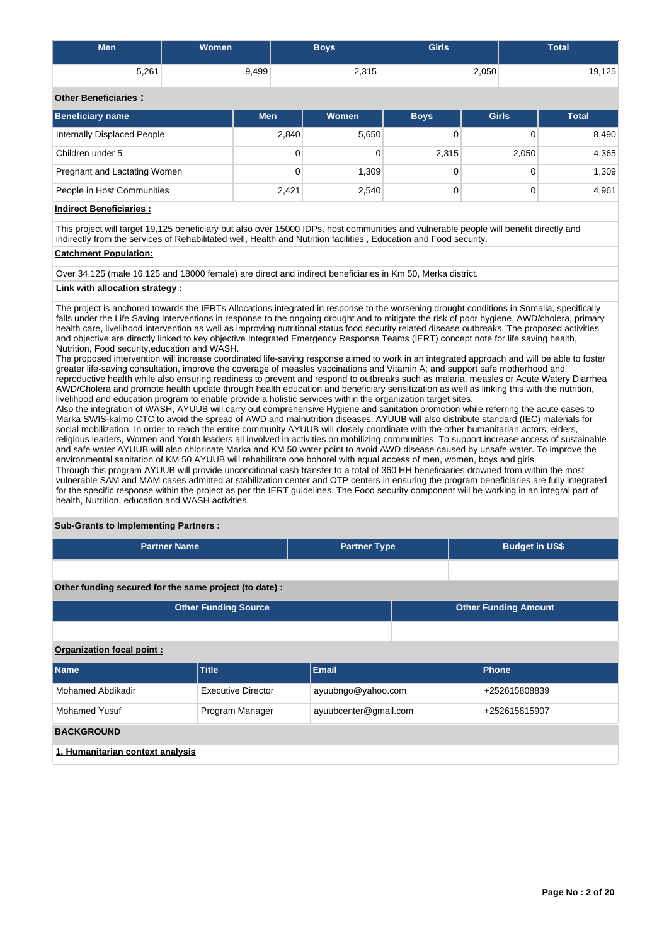| <b>Men</b> | Women | Boys  | <b>Girls</b> | <b>Total</b> |
|------------|-------|-------|--------------|--------------|
| 5,261      | 9,499 | 2,315 | 2,050        | 19,125       |

## **Other Beneficiaries :**

| <b>Beneficiary name</b>      | <b>Men</b> | Women | <b>Boys</b> | <b>Girls</b> | <b>Total</b> |
|------------------------------|------------|-------|-------------|--------------|--------------|
| Internally Displaced People  | 2,840      | 5,650 |             |              | 8,490        |
| Children under 5             | 0          |       | 2,315       | 2,050        | 4,365        |
| Pregnant and Lactating Women | 0          | 1,309 |             |              | 1,309        |
| People in Host Communities   | 2.421      | 2,540 |             |              | 4.961        |

## **Indirect Beneficiaries :**

This project will target 19,125 beneficiary but also over 15000 IDPs, host communities and vulnerable people will benefit directly and indirectly from the services of Rehabilitated well, Health and Nutrition facilities , Education and Food security.

## **Catchment Population:**

Over 34,125 (male 16,125 and 18000 female) are direct and indirect beneficiaries in Km 50, Merka district.

## **Link with allocation strategy :**

The project is anchored towards the IERTs Allocations integrated in response to the worsening drought conditions in Somalia, specifically falls under the Life Saving Interventions in response to the ongoing drought and to mitigate the risk of poor hygiene, AWD/cholera, primary health care, livelihood intervention as well as improving nutritional status food security related disease outbreaks. The proposed activities and objective are directly linked to key objective Integrated Emergency Response Teams (IERT) concept note for life saving health, Nutrition, Food security,education and WASH.

The proposed intervention will increase coordinated life-saving response aimed to work in an integrated approach and will be able to foster greater life-saving consultation, improve the coverage of measles vaccinations and Vitamin A; and support safe motherhood and reproductive health while also ensuring readiness to prevent and respond to outbreaks such as malaria, measles or Acute Watery Diarrhea AWD/Cholera and promote health update through health education and beneficiary sensitization as well as linking this with the nutrition, livelihood and education program to enable provide a holistic services within the organization target sites.

Also the integration of WASH, AYUUB will carry out comprehensive Hygiene and sanitation promotion while referring the acute cases to Marka SWIS-kalmo CTC to avoid the spread of AWD and malnutrition diseases. AYUUB will also distribute standard (IEC) materials for social mobilization. In order to reach the entire community AYUUB will closely coordinate with the other humanitarian actors, elders, religious leaders, Women and Youth leaders all involved in activities on mobilizing communities. To support increase access of sustainable and safe water AYUUB will also chlorinate Marka and KM 50 water point to avoid AWD disease caused by unsafe water. To improve the environmental sanitation of KM 50 AYUUB will rehabilitate one bohorel with equal access of men, women, boys and girls.

Through this program AYUUB will provide unconditional cash transfer to a total of 360 HH beneficiaries drowned from within the most vulnerable SAM and MAM cases admitted at stabilization center and OTP centers in ensuring the program beneficiaries are fully integrated for the specific response within the project as per the IERT guidelines. The Food security component will be working in an integral part of health, Nutrition, education and WASH activities.

## **Sub-Grants to Implementing Partners :**

| <b>Partner Name</b>                                   | <b>Partner Type</b> | <b>Budget in US\$</b>       |  |  |
|-------------------------------------------------------|---------------------|-----------------------------|--|--|
|                                                       |                     |                             |  |  |
| Other funding secured for the same project (to date): |                     |                             |  |  |
| <b>Other Funding Source</b>                           |                     | <b>Other Funding Amount</b> |  |  |

## **Organization focal point :**

| <b>Name</b>                      | <b>Title</b>       | <b>Email</b>          | <b>Phone</b>  |  |  |
|----------------------------------|--------------------|-----------------------|---------------|--|--|
| Mohamed Abdikadir                | Executive Director | ayuubngo@yahoo.com    | +252615808839 |  |  |
| <b>Mohamed Yusuf</b>             | Program Manager    | ayuubcenter@gmail.com | +252615815907 |  |  |
| <b>BACKGROUND</b>                |                    |                       |               |  |  |
| 1. Humanitarian context analysis |                    |                       |               |  |  |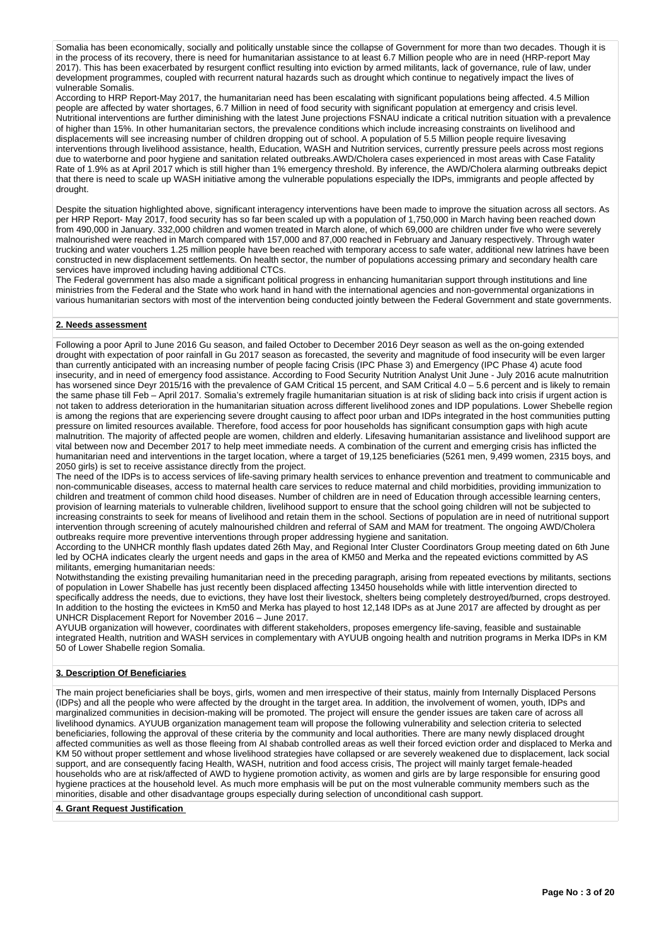Somalia has been economically, socially and politically unstable since the collapse of Government for more than two decades. Though it is in the process of its recovery, there is need for humanitarian assistance to at least 6.7 Million people who are in need (HRP-report May 2017). This has been exacerbated by resurgent conflict resulting into eviction by armed militants, lack of governance, rule of law, under development programmes, coupled with recurrent natural hazards such as drought which continue to negatively impact the lives of vulnerable Somalis.

According to HRP Report-May 2017, the humanitarian need has been escalating with significant populations being affected. 4.5 Million people are affected by water shortages, 6.7 Million in need of food security with significant population at emergency and crisis level. Nutritional interventions are further diminishing with the latest June projections FSNAU indicate a critical nutrition situation with a prevalence of higher than 15%. In other humanitarian sectors, the prevalence conditions which include increasing constraints on livelihood and displacements will see increasing number of children dropping out of school. A population of 5.5 Million people require livesaving interventions through livelihood assistance, health, Education, WASH and Nutrition services, currently pressure peels across most regions due to waterborne and poor hygiene and sanitation related outbreaks.AWD/Cholera cases experienced in most areas with Case Fatality Rate of 1.9% as at April 2017 which is still higher than 1% emergency threshold. By inference, the AWD/Cholera alarming outbreaks depict that there is need to scale up WASH initiative among the vulnerable populations especially the IDPs, immigrants and people affected by drought.

Despite the situation highlighted above, significant interagency interventions have been made to improve the situation across all sectors. As per HRP Report- May 2017, food security has so far been scaled up with a population of 1,750,000 in March having been reached down from 490,000 in January. 332,000 children and women treated in March alone, of which 69,000 are children under five who were severely malnourished were reached in March compared with 157,000 and 87,000 reached in February and January respectively. Through water trucking and water vouchers 1.25 million people have been reached with temporary access to safe water, additional new latrines have been constructed in new displacement settlements. On health sector, the number of populations accessing primary and secondary health care services have improved including having additional CTCs.

The Federal government has also made a significant political progress in enhancing humanitarian support through institutions and line ministries from the Federal and the State who work hand in hand with the international agencies and non-governmental organizations in various humanitarian sectors with most of the intervention being conducted jointly between the Federal Government and state governments.

## **2. Needs assessment**

Following a poor April to June 2016 Gu season, and failed October to December 2016 Deyr season as well as the on-going extended drought with expectation of poor rainfall in Gu 2017 season as forecasted, the severity and magnitude of food insecurity will be even larger than currently anticipated with an increasing number of people facing Crisis (IPC Phase 3) and Emergency (IPC Phase 4) acute food insecurity, and in need of emergency food assistance. According to Food Security Nutrition Analyst Unit June - July 2016 acute malnutrition has worsened since Deyr 2015/16 with the prevalence of GAM Critical 15 percent, and SAM Critical 4.0 – 5.6 percent and is likely to remain the same phase till Feb – April 2017. Somalia's extremely fragile humanitarian situation is at risk of sliding back into crisis if urgent action is not taken to address deterioration in the humanitarian situation across different livelihood zones and IDP populations. Lower Shebelle region is among the regions that are experiencing severe drought causing to affect poor urban and IDPs integrated in the host communities putting pressure on limited resources available. Therefore, food access for poor households has significant consumption gaps with high acute malnutrition. The majority of affected people are women, children and elderly. Lifesaving humanitarian assistance and livelihood support are vital between now and December 2017 to help meet immediate needs. A combination of the current and emerging crisis has inflicted the humanitarian need and interventions in the target location, where a target of 19,125 beneficiaries (5261 men, 9,499 women, 2315 boys, and 2050 girls) is set to receive assistance directly from the project.

The need of the IDPs is to access services of life-saving primary health services to enhance prevention and treatment to communicable and non-communicable diseases, access to maternal health care services to reduce maternal and child morbidities, providing immunization to children and treatment of common child hood diseases. Number of children are in need of Education through accessible learning centers, provision of learning materials to vulnerable children, livelihood support to ensure that the school going children will not be subjected to increasing constraints to seek for means of livelihood and retain them in the school. Sections of population are in need of nutritional support intervention through screening of acutely malnourished children and referral of SAM and MAM for treatment. The ongoing AWD/Cholera outbreaks require more preventive interventions through proper addressing hygiene and sanitation.

According to the UNHCR monthly flash updates dated 26th May, and Regional Inter Cluster Coordinators Group meeting dated on 6th June led by OCHA indicates clearly the urgent needs and gaps in the area of KM50 and Merka and the repeated evictions committed by AS militants, emerging humanitarian needs:

Notwithstanding the existing prevailing humanitarian need in the preceding paragraph, arising from repeated evections by militants, sections of population in Lower Shabelle has just recently been displaced affecting 13450 households while with little intervention directed to specifically address the needs, due to evictions, they have lost their livestock, shelters being completely destroyed/burned, crops destroyed. In addition to the hosting the evictees in Km50 and Merka has played to host 12,148 IDPs as at June 2017 are affected by drought as per UNHCR Displacement Report for November 2016 – June 2017.

AYUUB organization will however, coordinates with different stakeholders, proposes emergency life-saving, feasible and sustainable integrated Health, nutrition and WASH services in complementary with AYUUB ongoing health and nutrition programs in Merka IDPs in KM 50 of Lower Shabelle region Somalia.

## **3. Description Of Beneficiaries**

The main project beneficiaries shall be boys, girls, women and men irrespective of their status, mainly from Internally Displaced Persons (IDPs) and all the people who were affected by the drought in the target area. In addition, the involvement of women, youth, IDPs and marginalized communities in decision-making will be promoted. The project will ensure the gender issues are taken care of across all livelihood dynamics. AYUUB organization management team will propose the following vulnerability and selection criteria to selected beneficiaries, following the approval of these criteria by the community and local authorities. There are many newly displaced drought affected communities as well as those fleeing from Al shabab controlled areas as well their forced eviction order and displaced to Merka and KM 50 without proper settlement and whose livelihood strategies have collapsed or are severely weakened due to displacement, lack social support, and are consequently facing Health, WASH, nutrition and food access crisis, The project will mainly target female-headed households who are at risk/affected of AWD to hygiene promotion activity, as women and girls are by large responsible for ensuring good hygiene practices at the household level. As much more emphasis will be put on the most vulnerable community members such as the minorities, disable and other disadvantage groups especially during selection of unconditional cash support.

## **4. Grant Request Justification**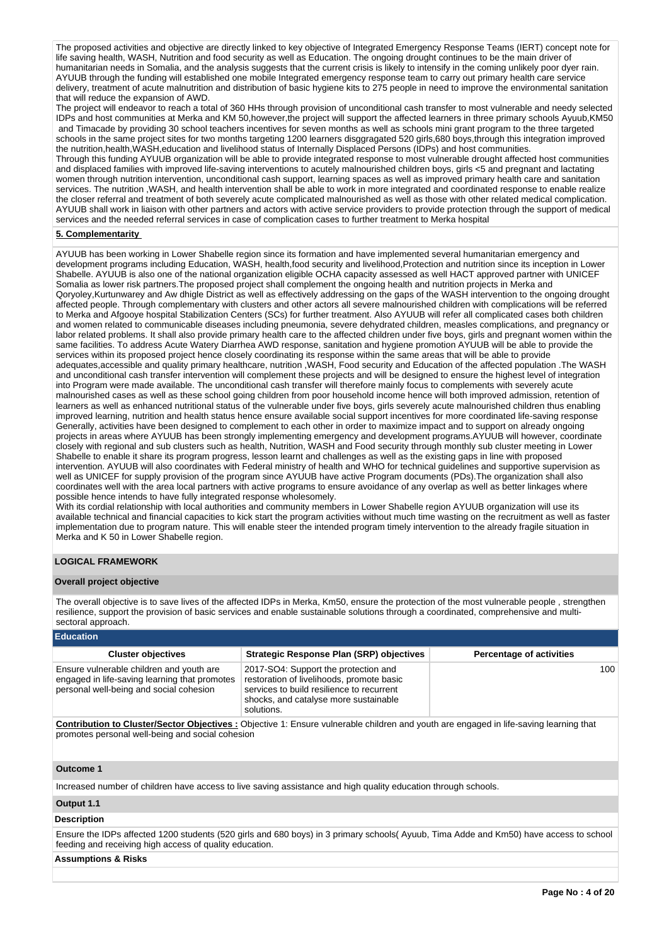The proposed activities and objective are directly linked to key objective of Integrated Emergency Response Teams (IERT) concept note for life saving health, WASH, Nutrition and food security as well as Education. The ongoing drought continues to be the main driver of humanitarian needs in Somalia, and the analysis suggests that the current crisis is likely to intensify in the coming unlikely poor dyer rain. AYUUB through the funding will established one mobile Integrated emergency response team to carry out primary health care service delivery, treatment of acute malnutrition and distribution of basic hygiene kits to 275 people in need to improve the environmental sanitation that will reduce the expansion of AWD.

The project will endeavor to reach a total of 360 HHs through provision of unconditional cash transfer to most vulnerable and needy selected IDPs and host communities at Merka and KM 50,however,the project will support the affected learners in three primary schools Ayuub,KM50 and Timacade by providing 30 school teachers incentives for seven months as well as schools mini grant program to the three targeted schools in the same project sites for two months targeting 1200 learners disggragated 520 girls,680 boys,through this integration improved the nutrition,health,WASH,education and livelihood status of Internally Displaced Persons (IDPs) and host communities.

Through this funding AYUUB organization will be able to provide integrated response to most vulnerable drought affected host communities and displaced families with improved life-saving interventions to acutely malnourished children boys, girls <5 and pregnant and lactating women through nutrition intervention, unconditional cash support, learning spaces as well as improved primary health care and sanitation services. The nutrition ,WASH, and health intervention shall be able to work in more integrated and coordinated response to enable realize the closer referral and treatment of both severely acute complicated malnourished as well as those with other related medical complication. AYUUB shall work in liaison with other partners and actors with active service providers to provide protection through the support of medical services and the needed referral services in case of complication cases to further treatment to Merka hospital

## **5. Complementarity**

AYUUB has been working in Lower Shabelle region since its formation and have implemented several humanitarian emergency and development programs including Education, WASH, health,food security and livelihood,Protection and nutrition since its inception in Lower Shabelle. AYUUB is also one of the national organization eligible OCHA capacity assessed as well HACT approved partner with UNICEF Somalia as lower risk partners.The proposed project shall complement the ongoing health and nutrition projects in Merka and Qoryoley,Kurtunwarey and Aw dhigle District as well as effectively addressing on the gaps of the WASH intervention to the ongoing drought affected people. Through complementary with clusters and other actors all severe malnourished children with complications will be referred to Merka and Afgooye hospital Stabilization Centers (SCs) for further treatment. Also AYUUB will refer all complicated cases both children and women related to communicable diseases including pneumonia, severe dehydrated children, measles complications, and pregnancy or labor related problems. It shall also provide primary health care to the affected children under five boys, girls and pregnant women within the same facilities. To address Acute Watery Diarrhea AWD response, sanitation and hygiene promotion AYUUB will be able to provide the services within its proposed project hence closely coordinating its response within the same areas that will be able to provide adequates,accessible and quality primary healthcare, nutrition ,WASH, Food security and Education of the affected population .The WASH and unconditional cash transfer intervention will complement these projects and will be designed to ensure the highest level of integration into Program were made available. The unconditional cash transfer will therefore mainly focus to complements with severely acute malnourished cases as well as these school going children from poor household income hence will both improved admission, retention of learners as well as enhanced nutritional status of the vulnerable under five boys, girls severely acute malnourished children thus enabling improved learning, nutrition and health status hence ensure available social support incentives for more coordinated life-saving response Generally, activities have been designed to complement to each other in order to maximize impact and to support on already ongoing projects in areas where AYUUB has been strongly implementing emergency and development programs.AYUUB will however, coordinate closely with regional and sub clusters such as health, Nutrition, WASH and Food security through monthly sub cluster meeting in Lower Shabelle to enable it share its program progress, lesson learnt and challenges as well as the existing gaps in line with proposed intervention. AYUUB will also coordinates with Federal ministry of health and WHO for technical guidelines and supportive supervision as well as UNICEF for supply provision of the program since AYUUB have active Program documents (PDs). The organization shall also coordinates well with the area local partners with active programs to ensure avoidance of any overlap as well as better linkages where possible hence intends to have fully integrated response wholesomely.

With its cordial relationship with local authorities and community members in Lower Shabelle region AYUUB organization will use its available technical and financial capacities to kick start the program activities without much time wasting on the recruitment as well as faster implementation due to program nature. This will enable steer the intended program timely intervention to the already fragile situation in Merka and K 50 in Lower Shabelle region.

## **LOGICAL FRAMEWORK**

## **Overall project objective**

The overall objective is to save lives of the affected IDPs in Merka, Km50, ensure the protection of the most vulnerable people , strengthen resilience, support the provision of basic services and enable sustainable solutions through a coordinated, comprehensive and multisectoral approach.

#### **Education**

| <b>Cluster objectives</b>                                                                                                            | Strategic Response Plan (SRP) objectives                                                                                                                                              | <b>Percentage of activities</b> |  |  |  |  |
|--------------------------------------------------------------------------------------------------------------------------------------|---------------------------------------------------------------------------------------------------------------------------------------------------------------------------------------|---------------------------------|--|--|--|--|
| Ensure vulnerable children and youth are<br>engaged in life-saving learning that promotes<br>personal well-being and social cohesion | 2017-SO4: Support the protection and<br>restoration of livelihoods, promote basic<br>services to build resilience to recurrent<br>shocks, and catalyse more sustainable<br>solutions. | 100                             |  |  |  |  |
| According to Abort Martin Alterback Alterback Terms when the different and wall are considered in the contraction                    |                                                                                                                                                                                       |                                 |  |  |  |  |

**Contribution to Cluster/Sector Objectives :** Objective 1: Ensure vulnerable children and youth are engaged in life-saving learning that promotes personal well-being and social cohesion

## **Outcome 1**

Increased number of children have access to live saving assistance and high quality education through schools.

## **Output 1.1**

## **Description**

Ensure the IDPs affected 1200 students (520 girls and 680 boys) in 3 primary schools( Ayuub, Tima Adde and Km50) have access to school feeding and receiving high access of quality education.

## **Assumptions & Risks**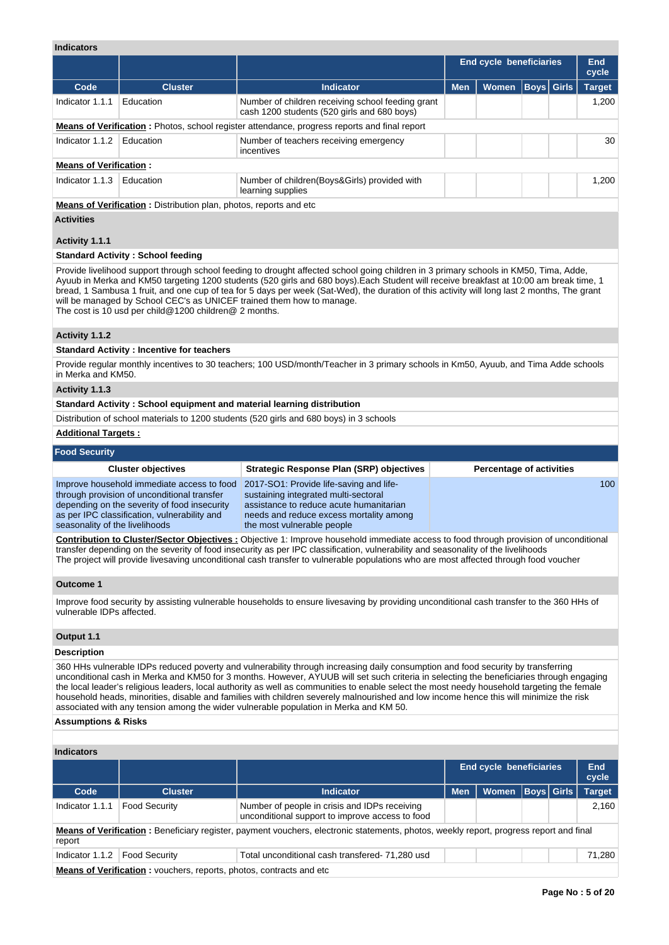|                                     |                                                                                                                                                                                           |                                                                                                                                                                                                                                                                                                                                                                                                                             |            | <b>End cycle beneficiaries</b>  |                   | <b>End</b>             |
|-------------------------------------|-------------------------------------------------------------------------------------------------------------------------------------------------------------------------------------------|-----------------------------------------------------------------------------------------------------------------------------------------------------------------------------------------------------------------------------------------------------------------------------------------------------------------------------------------------------------------------------------------------------------------------------|------------|---------------------------------|-------------------|------------------------|
| Code                                | <b>Cluster</b>                                                                                                                                                                            | <b>Indicator</b>                                                                                                                                                                                                                                                                                                                                                                                                            | <b>Men</b> | <b>Women</b>                    | <b>Boys</b> Girls | cycle<br><b>Target</b> |
| Indicator 1.1.1                     | Education                                                                                                                                                                                 | Number of children receiving school feeding grant<br>cash 1200 students (520 girls and 680 boys)                                                                                                                                                                                                                                                                                                                            |            |                                 |                   | 1,200                  |
|                                     |                                                                                                                                                                                           | <b>Means of Verification</b> : Photos, school register attendance, progress reports and final report                                                                                                                                                                                                                                                                                                                        |            |                                 |                   |                        |
| Indicator $1.1.2$                   | Education                                                                                                                                                                                 | Number of teachers receiving emergency                                                                                                                                                                                                                                                                                                                                                                                      |            |                                 |                   | 30                     |
|                                     |                                                                                                                                                                                           | incentives                                                                                                                                                                                                                                                                                                                                                                                                                  |            |                                 |                   |                        |
| <b>Means of Verification:</b>       |                                                                                                                                                                                           |                                                                                                                                                                                                                                                                                                                                                                                                                             |            |                                 |                   |                        |
| Indicator 1.1.3                     | Education                                                                                                                                                                                 | Number of children (Boys&Girls) provided with<br>learning supplies                                                                                                                                                                                                                                                                                                                                                          |            |                                 |                   | 1,200                  |
|                                     | Means of Verification: Distribution plan, photos, reports and etc                                                                                                                         |                                                                                                                                                                                                                                                                                                                                                                                                                             |            |                                 |                   |                        |
| <b>Activities</b><br>Activity 1.1.1 |                                                                                                                                                                                           |                                                                                                                                                                                                                                                                                                                                                                                                                             |            |                                 |                   |                        |
|                                     | <b>Standard Activity: School feeding</b>                                                                                                                                                  |                                                                                                                                                                                                                                                                                                                                                                                                                             |            |                                 |                   |                        |
|                                     | will be managed by School CEC's as UNICEF trained them how to manage.<br>The cost is 10 usd per child@1200 children@ 2 months.                                                            | Ayuub in Merka and KM50 targeting 1200 students (520 girls and 680 boys).Each Student will receive breakfast at 10:00 am break time, 1<br>bread, 1 Sambusa 1 fruit, and one cup of tea for 5 days per week (Sat-Wed), the duration of this activity will long last 2 months, The grant                                                                                                                                      |            |                                 |                   |                        |
| Activity 1.1.2                      |                                                                                                                                                                                           |                                                                                                                                                                                                                                                                                                                                                                                                                             |            |                                 |                   |                        |
|                                     | <b>Standard Activity: Incentive for teachers</b>                                                                                                                                          |                                                                                                                                                                                                                                                                                                                                                                                                                             |            |                                 |                   |                        |
| in Merka and KM50.                  |                                                                                                                                                                                           | Provide regular monthly incentives to 30 teachers; 100 USD/month/Teacher in 3 primary schools in Km50, Ayuub, and Tima Adde schools                                                                                                                                                                                                                                                                                         |            |                                 |                   |                        |
| Activity 1.1.3                      |                                                                                                                                                                                           |                                                                                                                                                                                                                                                                                                                                                                                                                             |            |                                 |                   |                        |
|                                     | Standard Activity: School equipment and material learning distribution                                                                                                                    |                                                                                                                                                                                                                                                                                                                                                                                                                             |            |                                 |                   |                        |
|                                     |                                                                                                                                                                                           | Distribution of school materials to 1200 students (520 girls and 680 boys) in 3 schools                                                                                                                                                                                                                                                                                                                                     |            |                                 |                   |                        |
| <b>Additional Targets:</b>          |                                                                                                                                                                                           |                                                                                                                                                                                                                                                                                                                                                                                                                             |            |                                 |                   |                        |
| <b>Food Security</b>                |                                                                                                                                                                                           |                                                                                                                                                                                                                                                                                                                                                                                                                             |            |                                 |                   |                        |
|                                     | <b>Cluster objectives</b>                                                                                                                                                                 | <b>Strategic Response Plan (SRP) objectives</b>                                                                                                                                                                                                                                                                                                                                                                             |            | <b>Percentage of activities</b> |                   |                        |
| seasonality of the livelihoods      | Improve household immediate access to food<br>through provision of unconditional transfer<br>depending on the severity of food insecurity<br>as per IPC classification, vulnerability and | 2017-SO1: Provide life-saving and life-<br>sustaining integrated multi-sectoral<br>assistance to reduce acute humanitarian<br>needs and reduce excess mortality among<br>the most vulnerable people                                                                                                                                                                                                                         |            |                                 |                   | 100                    |
|                                     |                                                                                                                                                                                           | <b>Contribution to Cluster/Sector Objectives:</b> Objective 1: Improve household immediate access to food through provision of unconditional<br>transfer depending on the severity of food insecurity as per IPC classification, vulnerability and seasonality of the livelihoods<br>The project will provide livesaving unconditional cash transfer to vulnerable populations who are most affected through food voucher   |            |                                 |                   |                        |
| <b>Outcome 1</b>                    |                                                                                                                                                                                           |                                                                                                                                                                                                                                                                                                                                                                                                                             |            |                                 |                   |                        |
| vulnerable IDPs affected.           |                                                                                                                                                                                           | Improve food security by assisting vulnerable households to ensure livesaving by providing unconditional cash transfer to the 360 HHs of                                                                                                                                                                                                                                                                                    |            |                                 |                   |                        |
| Output 1.1                          |                                                                                                                                                                                           |                                                                                                                                                                                                                                                                                                                                                                                                                             |            |                                 |                   |                        |
| <b>Description</b>                  |                                                                                                                                                                                           |                                                                                                                                                                                                                                                                                                                                                                                                                             |            |                                 |                   |                        |
|                                     |                                                                                                                                                                                           | 360 HHs vulnerable IDPs reduced poverty and vulnerability through increasing daily consumption and food security by transferring<br>unconditional cash in Merka and KM50 for 3 months. However, AYUUB will set such criteria in selecting the beneficiaries through engaging<br>the local leader's religious leaders, local authority as well as communities to enable select the most needy household targeting the female |            |                                 |                   |                        |

the local leader's religious leaders, local authority as well as communities to enable select the most needy household targeting the female household heads, minorities, disable and families with children severely malnourished and low income hence this will minimize the risk associated with any tension among the wider vulnerable population in Merka and KM 50.

## **Assumptions & Risks**

## **Indicators**

|                                                                                                                                                  |                      |                                                                                                  | <b>End cycle beneficiaries</b>                                     |       |                   | <b>End</b><br>cycle |               |  |  |  |  |
|--------------------------------------------------------------------------------------------------------------------------------------------------|----------------------|--------------------------------------------------------------------------------------------------|--------------------------------------------------------------------|-------|-------------------|---------------------|---------------|--|--|--|--|
| Code                                                                                                                                             | <b>Cluster</b>       | <b>Indicator</b>                                                                                 | <b>Men</b>                                                         | Women | <b>Boys Girls</b> |                     | <b>Target</b> |  |  |  |  |
| Indicator 1.1.1                                                                                                                                  | <b>Food Security</b> | Number of people in crisis and IDPs receiving<br>unconditional support to improve access to food |                                                                    |       |                   |                     | 2,160         |  |  |  |  |
| Means of Verification: Beneficiary register, payment vouchers, electronic statements, photos, weekly report, progress report and final<br>report |                      |                                                                                                  |                                                                    |       |                   |                     |               |  |  |  |  |
| Indicator 1.1.2                                                                                                                                  | <b>Food Security</b> | Total unconditional cash transfered- 71,280 usd                                                  |                                                                    |       |                   |                     | 71,280        |  |  |  |  |
|                                                                                                                                                  |                      |                                                                                                  | Means of Verification : vouchers reports photos contracts and etc. |       |                   |                     |               |  |  |  |  |

**Means of Verification :** vouchers, reports, photos, contracts and etc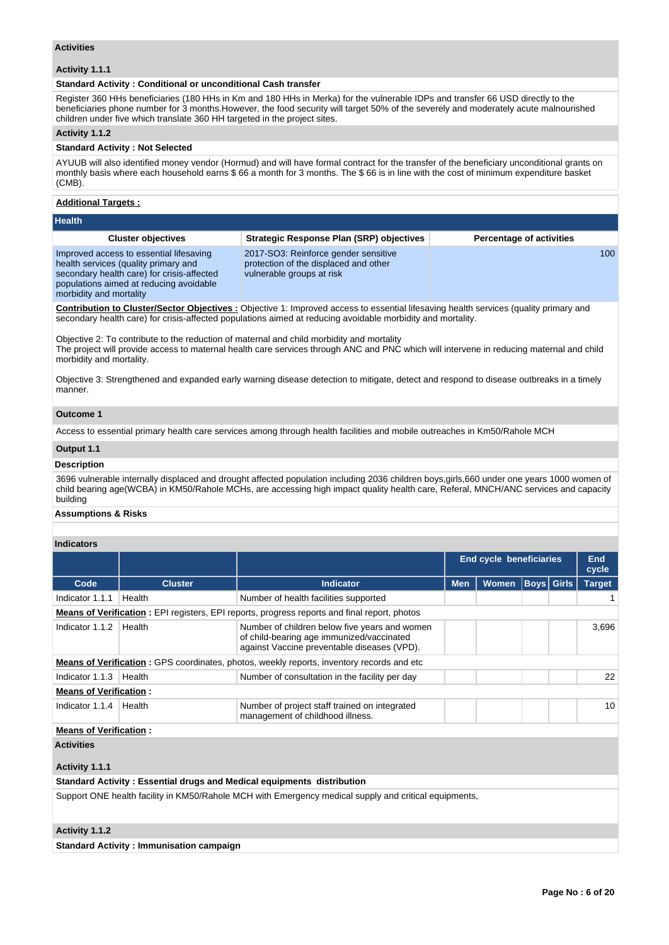## **Activities**

## **Activity 1.1.1**

## **Standard Activity : Conditional or unconditional Cash transfer**

Register 360 HHs beneficiaries (180 HHs in Km and 180 HHs in Merka) for the vulnerable IDPs and transfer 66 USD directly to the beneficiaries phone number for 3 months.However, the food security will target 50% of the severely and moderately acute malnourished children under five which translate 360 HH targeted in the project sites.

## **Activity 1.1.2**

#### **Standard Activity : Not Selected**

AYUUB will also identified money vendor (Hormud) and will have formal contract for the transfer of the beneficiary unconditional grants on monthly basis where each household earns \$ 66 a month for 3 months. The \$ 66 is in line with the cost of minimum expenditure basket (CMB).

## **Additional Targets :**

| <b>Health</b>                                                                                                                                                                                       |                                                                                                            |                                 |  |  |  |  |
|-----------------------------------------------------------------------------------------------------------------------------------------------------------------------------------------------------|------------------------------------------------------------------------------------------------------------|---------------------------------|--|--|--|--|
| <b>Cluster objectives</b>                                                                                                                                                                           | <b>Strategic Response Plan (SRP) objectives</b>                                                            | <b>Percentage of activities</b> |  |  |  |  |
| Improved access to essential lifesaving<br>health services (quality primary and<br>secondary health care) for crisis-affected<br>populations aimed at reducing avoidable<br>morbidity and mortality | 2017-SO3: Reinforce gender sensitive<br>protection of the displaced and other<br>vulnerable groups at risk | 100                             |  |  |  |  |

**Contribution to Cluster/Sector Objectives :** Objective 1: Improved access to essential lifesaving health services (quality primary and secondary health care) for crisis-affected populations aimed at reducing avoidable morbidity and mortality.

Objective 2: To contribute to the reduction of maternal and child morbidity and mortality The project will provide access to maternal health care services through ANC and PNC which will intervene in reducing maternal and child morbidity and mortality.

Objective 3: Strengthened and expanded early warning disease detection to mitigate, detect and respond to disease outbreaks in a timely manner.

## **Outcome 1**

Access to essential primary health care services among through health facilities and mobile outreaches in Km50/Rahole MCH

#### **Output 1.1**

#### **Description**

3696 vulnerable internally displaced and drought affected population including 2036 children boys,girls,660 under one years 1000 women of child bearing age(WCBA) in KM50/Rahole MCHs, are accessing high impact quality health care, Referal, MNCH/ANC services and capacity building

## **Assumptions & Risks**

#### **Indicators**

|                               |                                                                                                       |                                                                                                                                           | <b>End cycle beneficiaries</b> |              |                   | <b>End</b><br>cycle |               |  |
|-------------------------------|-------------------------------------------------------------------------------------------------------|-------------------------------------------------------------------------------------------------------------------------------------------|--------------------------------|--------------|-------------------|---------------------|---------------|--|
| Code                          | <b>Cluster</b>                                                                                        | Indicator                                                                                                                                 | <b>Men</b>                     | <b>Women</b> | <b>Boys Girls</b> |                     | <b>Target</b> |  |
| Indicator 1.1.1               | Health                                                                                                | Number of health facilities supported                                                                                                     |                                |              |                   |                     |               |  |
|                               |                                                                                                       | <b>Means of Verification</b> : EPI registers, EPI reports, progress reports and final report, photos                                      |                                |              |                   |                     |               |  |
| Indicator 1.1.2               | Health                                                                                                | Number of children below five years and women<br>of child-bearing age immunized/vaccinated<br>against Vaccine preventable diseases (VPD). |                                |              |                   |                     | 3,696         |  |
|                               | <b>Means of Verification:</b> GPS coordinates, photos, weekly reports, inventory records and etc      |                                                                                                                                           |                                |              |                   |                     |               |  |
| Indicator 1.1.3               | Health                                                                                                | Number of consultation in the facility per day                                                                                            |                                |              |                   |                     | 22            |  |
| <b>Means of Verification:</b> |                                                                                                       |                                                                                                                                           |                                |              |                   |                     |               |  |
| Indicator 1.1.4               | Health                                                                                                | Number of project staff trained on integrated<br>management of childhood illness.                                                         |                                |              |                   |                     | 10            |  |
| <b>Means of Verification:</b> |                                                                                                       |                                                                                                                                           |                                |              |                   |                     |               |  |
| <b>Activities</b>             |                                                                                                       |                                                                                                                                           |                                |              |                   |                     |               |  |
| Activity 1.1.1                |                                                                                                       |                                                                                                                                           |                                |              |                   |                     |               |  |
|                               |                                                                                                       | Standard Activity: Essential drugs and Medical equipments distribution                                                                    |                                |              |                   |                     |               |  |
|                               | Support ONE health facility in KM50/Rahole MCH with Emergency medical supply and critical equipments, |                                                                                                                                           |                                |              |                   |                     |               |  |

## **Activity 1.1.2**

**Standard Activity : Immunisation campaign**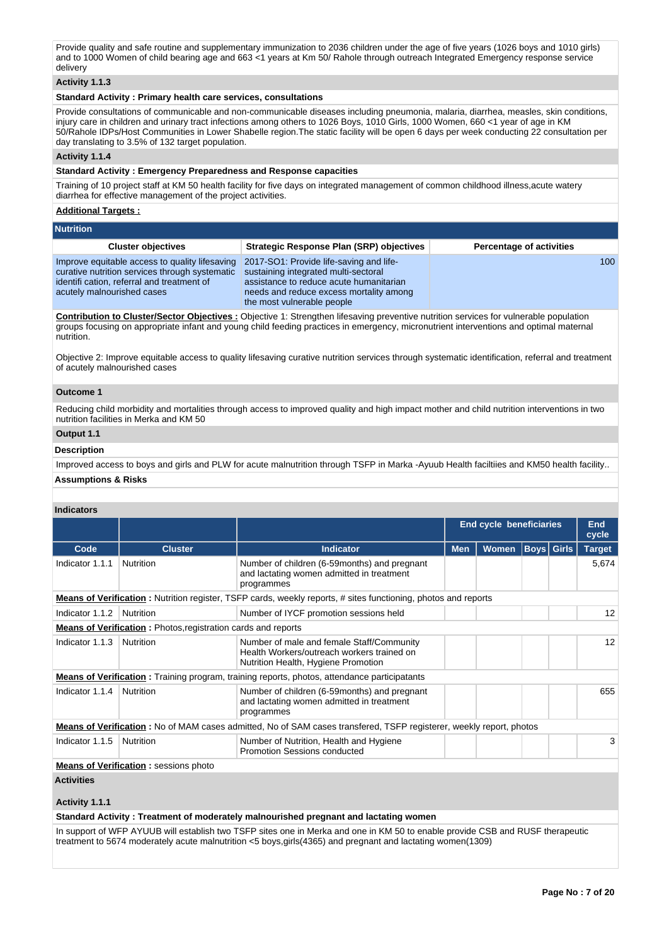Provide quality and safe routine and supplementary immunization to 2036 children under the age of five years (1026 boys and 1010 girls) and to 1000 Women of child bearing age and 663 <1 years at Km 50/ Rahole through outreach Integrated Emergency response service delivery

## **Activity 1.1.3**

## **Standard Activity : Primary health care services, consultations**

Provide consultations of communicable and non-communicable diseases including pneumonia, malaria, diarrhea, measles, skin conditions, injury care in children and urinary tract infections among others to 1026 Boys, 1010 Girls, 1000 Women, 660 <1 year of age in KM 50/Rahole IDPs/Host Communities in Lower Shabelle region.The static facility will be open 6 days per week conducting 22 consultation per day translating to 3.5% of 132 target population.

#### **Activity 1.1.4**

## **Standard Activity : Emergency Preparedness and Response capacities**

Training of 10 project staff at KM 50 health facility for five days on integrated management of common childhood illness,acute watery diarrhea for effective management of the project activities.

## **Additional Targets :**

| <b>Nutrition</b>                                                                                                                                                            |                                                                                                                                                                                                     |                                 |
|-----------------------------------------------------------------------------------------------------------------------------------------------------------------------------|-----------------------------------------------------------------------------------------------------------------------------------------------------------------------------------------------------|---------------------------------|
| <b>Cluster objectives</b>                                                                                                                                                   | Strategic Response Plan (SRP) objectives                                                                                                                                                            | <b>Percentage of activities</b> |
| Improve equitable access to quality lifesaving<br>curative nutrition services through systematic<br>identification, referral and treatment of<br>acutely malnourished cases | 2017-SO1: Provide life-saving and life-<br>sustaining integrated multi-sectoral<br>assistance to reduce acute humanitarian<br>needs and reduce excess mortality among<br>the most vulnerable people | 100 <sup>1</sup>                |
|                                                                                                                                                                             |                                                                                                                                                                                                     |                                 |

**Contribution to Cluster/Sector Objectives :** Objective 1: Strengthen lifesaving preventive nutrition services for vulnerable population groups focusing on appropriate infant and young child feeding practices in emergency, micronutrient interventions and optimal maternal nutrition.

Objective 2: Improve equitable access to quality lifesaving curative nutrition services through systematic identification, referral and treatment of acutely malnourished cases

#### **Outcome 1**

Reducing child morbidity and mortalities through access to improved quality and high impact mother and child nutrition interventions in two nutrition facilities in Merka and KM 50

# **Output 1.1**

#### **Description**

Improved access to boys and girls and PLW for acute malnutrition through TSFP in Marka -Ayuub Health faciltiies and KM50 health facility..

#### **Assumptions & Risks**

## **Indicators**

|                 |                                                                                                                        |                                                                                                                                | <b>End cycle beneficiaries</b> |              |                   | End<br>cycle |                 |
|-----------------|------------------------------------------------------------------------------------------------------------------------|--------------------------------------------------------------------------------------------------------------------------------|--------------------------------|--------------|-------------------|--------------|-----------------|
| Code            | <b>Cluster</b>                                                                                                         | Indicator                                                                                                                      | <b>Men</b>                     | <b>Women</b> | <b>Boys Girls</b> |              | <b>Target</b>   |
| Indicator 1.1.1 | Nutrition                                                                                                              | Number of children (6-59 months) and pregnant<br>and lactating women admitted in treatment<br>programmes                       |                                |              |                   |              | 5,674           |
|                 | <b>Means of Verification</b> : Nutrition register, TSFP cards, weekly reports, # sites functioning, photos and reports |                                                                                                                                |                                |              |                   |              |                 |
| Indicator 1.1.2 | Nutrition                                                                                                              | Number of IYCF promotion sessions held                                                                                         |                                |              |                   |              | 12              |
|                 | <b>Means of Verification:</b> Photos, registration cards and reports                                                   |                                                                                                                                |                                |              |                   |              |                 |
| Indicator 1.1.3 | Nutrition                                                                                                              | Number of male and female Staff/Community<br>Health Workers/outreach workers trained on<br>Nutrition Health, Hygiene Promotion |                                |              |                   |              | 12 <sup>2</sup> |
|                 |                                                                                                                        | <b>Means of Verification:</b> Training program, training reports, photos, attendance participatants                            |                                |              |                   |              |                 |
| Indicator 1.1.4 | Nutrition                                                                                                              | Number of children (6-59 months) and pregnant<br>and lactating women admitted in treatment<br>programmes                       |                                |              |                   |              | 655             |
|                 |                                                                                                                        | <b>Means of Verification</b> : No of MAM cases admitted, No of SAM cases transfered, TSFP registerer, weekly report, photos    |                                |              |                   |              |                 |
| Indicator 1.1.5 | Nutrition                                                                                                              | Number of Nutrition, Health and Hygiene<br>Promotion Sessions conducted                                                        |                                |              |                   |              | 3               |
|                 | <b>Means of Verification:</b> sessions photo                                                                           |                                                                                                                                |                                |              |                   |              |                 |

## **Activities**

**Activity 1.1.1** 

**Standard Activity : Treatment of moderately malnourished pregnant and lactating women**

In support of WFP AYUUB will establish two TSFP sites one in Merka and one in KM 50 to enable provide CSB and RUSF therapeutic treatment to 5674 moderately acute malnutrition <5 boys,girls(4365) and pregnant and lactating women(1309)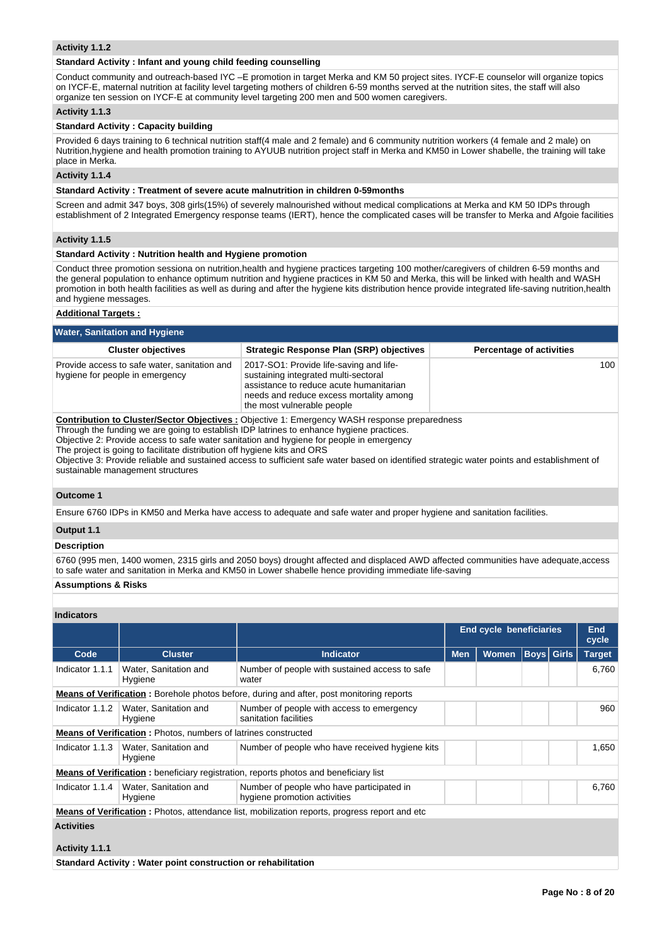## **Activity 1.1.2**

#### **Standard Activity : Infant and young child feeding counselling**

Conduct community and outreach-based IYC –E promotion in target Merka and KM 50 project sites. IYCF-E counselor will organize topics on IYCF-E, maternal nutrition at facility level targeting mothers of children 6-59 months served at the nutrition sites, the staff will also organize ten session on IYCF-E at community level targeting 200 men and 500 women caregivers.

## **Activity 1.1.3**

#### **Standard Activity : Capacity building**

Provided 6 days training to 6 technical nutrition staff(4 male and 2 female) and 6 community nutrition workers (4 female and 2 male) on Nutrition,hygiene and health promotion training to AYUUB nutrition project staff in Merka and KM50 in Lower shabelle, the training will take place in Merka.

## **Activity 1.1.4**

#### **Standard Activity : Treatment of severe acute malnutrition in children 0-59months**

Screen and admit 347 boys, 308 girls(15%) of severely malnourished without medical complications at Merka and KM 50 IDPs through establishment of 2 Integrated Emergency response teams (IERT), hence the complicated cases will be transfer to Merka and Afgoie facilities

## **Activity 1.1.5**

#### **Standard Activity : Nutrition health and Hygiene promotion**

Conduct three promotion sessiona on nutrition,health and hygiene practices targeting 100 mother/caregivers of children 6-59 months and the general population to enhance optimum nutrition and hygiene practices in KM 50 and Merka, this will be linked with health and WASH promotion in both health facilities as well as during and after the hygiene kits distribution hence provide integrated life-saving nutrition,health and hygiene messages.

#### **Additional Targets :**

| <b>Water, Sanitation and Hygiene</b>                                                                                                                                                                                                                                                                                                                                                                                                                                                                                                                        |                                                                                                                                                                                                     |                                 |  |  |  |  |  |  |
|-------------------------------------------------------------------------------------------------------------------------------------------------------------------------------------------------------------------------------------------------------------------------------------------------------------------------------------------------------------------------------------------------------------------------------------------------------------------------------------------------------------------------------------------------------------|-----------------------------------------------------------------------------------------------------------------------------------------------------------------------------------------------------|---------------------------------|--|--|--|--|--|--|
| <b>Cluster objectives</b>                                                                                                                                                                                                                                                                                                                                                                                                                                                                                                                                   | <b>Strategic Response Plan (SRP) objectives</b>                                                                                                                                                     | <b>Percentage of activities</b> |  |  |  |  |  |  |
| Provide access to safe water, sanitation and<br>hygiene for people in emergency                                                                                                                                                                                                                                                                                                                                                                                                                                                                             | 2017-SO1: Provide life-saving and life-<br>sustaining integrated multi-sectoral<br>assistance to reduce acute humanitarian<br>needs and reduce excess mortality among<br>the most vulnerable people | 100                             |  |  |  |  |  |  |
| <b>Contribution to Cluster/Sector Objectives: Objective 1: Emergency WASH response preparedness</b><br>Through the funding we are going to establish IDP latrines to enhance hygiene practices.<br>Objective 2: Provide access to safe water sanitation and hygiene for people in emergency<br>The project is going to facilitate distribution off hygiene kits and ORS<br>Objective 3: Provide reliable and sustained access to sufficient safe water based on identified strategic water points and establishment of<br>sustainable management structures |                                                                                                                                                                                                     |                                 |  |  |  |  |  |  |

#### **Outcome 1**

Ensure 6760 IDPs in KM50 and Merka have access to adequate and safe water and proper hygiene and sanitation facilities.

# **Output 1.1**

# **Description**

6760 (995 men, 1400 women, 2315 girls and 2050 boys) drought affected and displaced AWD affected communities have adequate,access to safe water and sanitation in Merka and KM50 in Lower shabelle hence providing immediate life-saving

## **Assumptions & Risks**

#### **Indicators**

|                   |                                                                                              |                                                                                                       |            | End cycle beneficiaries |                   |  | <b>End</b><br>cycle |
|-------------------|----------------------------------------------------------------------------------------------|-------------------------------------------------------------------------------------------------------|------------|-------------------------|-------------------|--|---------------------|
| Code              | <b>Cluster</b>                                                                               | <b>Indicator</b>                                                                                      | <b>Men</b> | Women                   | <b>Boys</b> Girls |  | <b>Target</b>       |
| Indicator 1.1.1   | Water, Sanitation and<br>Hygiene                                                             | Number of people with sustained access to safe<br>water                                               |            |                         |                   |  | 6,760               |
|                   |                                                                                              | <b>Means of Verification:</b> Borehole photos before, during and after, post monitoring reports       |            |                         |                   |  |                     |
| Indicator 1.1.2   | Water, Sanitation and<br>Hygiene                                                             | Number of people with access to emergency<br>sanitation facilities                                    |            |                         |                   |  | 960                 |
|                   | <b>Means of Verification:</b> Photos, numbers of latrines constructed                        |                                                                                                       |            |                         |                   |  |                     |
| Indicator 1.1.3   | 1,650<br>Water, Sanitation and<br>Number of people who have received hygiene kits<br>Hygiene |                                                                                                       |            |                         |                   |  |                     |
|                   |                                                                                              | Means of Verification: beneficiary registration, reports photos and beneficiary list                  |            |                         |                   |  |                     |
| Indicator 1.1.4   | Water, Sanitation and<br>Hygiene                                                             | Number of people who have participated in<br>hygiene promotion activities                             |            |                         |                   |  | 6,760               |
|                   |                                                                                              | <b>Means of Verification</b> : Photos, attendance list, mobilization reports, progress report and etc |            |                         |                   |  |                     |
| <b>Activities</b> |                                                                                              |                                                                                                       |            |                         |                   |  |                     |
| Activity 1.1.1    |                                                                                              |                                                                                                       |            |                         |                   |  |                     |
|                   | Standard Activity: Water point construction or rehabilitation                                |                                                                                                       |            |                         |                   |  |                     |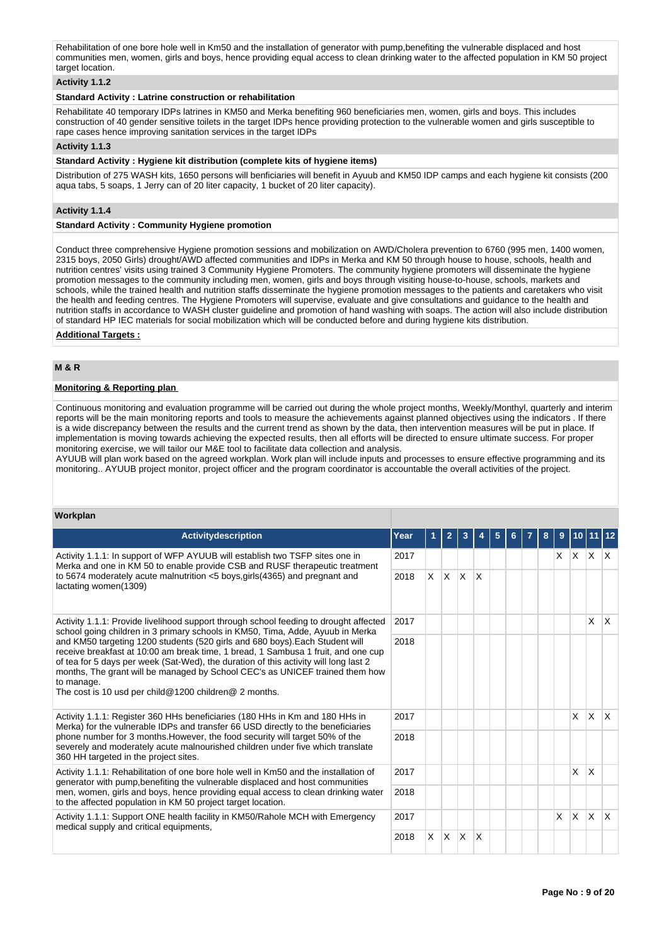Rehabilitation of one bore hole well in Km50 and the installation of generator with pump,benefiting the vulnerable displaced and host communities men, women, girls and boys, hence providing equal access to clean drinking water to the affected population in KM 50 project target location

## **Activity 1.1.2**

## **Standard Activity : Latrine construction or rehabilitation**

Rehabilitate 40 temporary IDPs latrines in KM50 and Merka benefiting 960 beneficiaries men, women, girls and boys. This includes construction of 40 gender sensitive toilets in the target IDPs hence providing protection to the vulnerable women and girls susceptible to rape cases hence improving sanitation services in the target IDPs

## **Activity 1.1.3**

## **Standard Activity : Hygiene kit distribution (complete kits of hygiene items)**

Distribution of 275 WASH kits, 1650 persons will benficiaries will benefit in Ayuub and KM50 IDP camps and each hygiene kit consists (200 aqua tabs, 5 soaps, 1 Jerry can of 20 liter capacity, 1 bucket of 20 liter capacity).

## **Activity 1.1.4**

## **Standard Activity : Community Hygiene promotion**

Conduct three comprehensive Hygiene promotion sessions and mobilization on AWD/Cholera prevention to 6760 (995 men, 1400 women, 2315 boys, 2050 Girls) drought/AWD affected communities and IDPs in Merka and KM 50 through house to house, schools, health and nutrition centres' visits using trained 3 Community Hygiene Promoters. The community hygiene promoters will disseminate the hygiene promotion messages to the community including men, women, girls and boys through visiting house-to-house, schools, markets and schools, while the trained health and nutrition staffs disseminate the hygiene promotion messages to the patients and caretakers who visit the health and feeding centres. The Hygiene Promoters will supervise, evaluate and give consultations and guidance to the health and nutrition staffs in accordance to WASH cluster guideline and promotion of hand washing with soaps. The action will also include distribution of standard HP IEC materials for social mobilization which will be conducted before and during hygiene kits distribution.

## **Additional Targets :**

## **M & R**

## **Monitoring & Reporting plan**

Continuous monitoring and evaluation programme will be carried out during the whole project months, Weekly/Monthyl, quarterly and interim reports will be the main monitoring reports and tools to measure the achievements against planned objectives using the indicators . If there is a wide discrepancy between the results and the current trend as shown by the data, then intervention measures will be put in place. If implementation is moving towards achieving the expected results, then all efforts will be directed to ensure ultimate success. For proper monitoring exercise, we will tailor our M&E tool to facilitate data collection and analysis.

AYUUB will plan work based on the agreed workplan. Work plan will include inputs and processes to ensure effective programming and its monitoring.. AYUUB project monitor, project officer and the program coordinator is accountable the overall activities of the project.

## **Workplan**

| <b>Activitydescription</b>                                                                                                                                                                                                                                                                                                                                                                                       | Year | 1  | $\overline{2}$ | 3            |              | 5 | 6 | 8 | 9        |              | $10$ 11 12   |              |
|------------------------------------------------------------------------------------------------------------------------------------------------------------------------------------------------------------------------------------------------------------------------------------------------------------------------------------------------------------------------------------------------------------------|------|----|----------------|--------------|--------------|---|---|---|----------|--------------|--------------|--------------|
| Activity 1.1.1: In support of WFP AYUUB will establish two TSFP sites one in<br>Merka and one in KM 50 to enable provide CSB and RUSF therapeutic treatment                                                                                                                                                                                                                                                      | 2017 |    |                |              |              |   |   |   | X.       |              | $x \times x$ |              |
| to 5674 moderately acute malnutrition $<$ 5 boys, girls (4365) and pregnant and<br>lactating women(1309)                                                                                                                                                                                                                                                                                                         | 2018 | X. | ΙX.            | $\mathsf{X}$ | $\mathsf{X}$ |   |   |   |          |              |              |              |
| Activity 1.1.1: Provide livelihood support through school feeding to drought affected<br>school going children in 3 primary schools in KM50, Tima, Adde, Ayuub in Merka                                                                                                                                                                                                                                          | 2017 |    |                |              |              |   |   |   |          |              | X            | $\mathsf{X}$ |
| and KM50 targeting 1200 students (520 girls and 680 boys). Each Student will<br>receive breakfast at 10:00 am break time, 1 bread, 1 Sambusa 1 fruit, and one cup<br>of tea for 5 days per week (Sat-Wed), the duration of this activity will long last 2<br>months, The grant will be managed by School CEC's as UNICEF trained them how<br>to manage.<br>The cost is 10 usd per child@1200 children@ 2 months. | 2018 |    |                |              |              |   |   |   |          |              |              |              |
| Activity 1.1.1: Register 360 HHs beneficiaries (180 HHs in Km and 180 HHs in<br>Merka) for the vulnerable IDPs and transfer 66 USD directly to the beneficiaries                                                                                                                                                                                                                                                 | 2017 |    |                |              |              |   |   |   |          | $\times$     | <b>X</b>     | $\mathsf{X}$ |
| phone number for 3 months. However, the food security will target 50% of the<br>severely and moderately acute malnourished children under five which translate<br>360 HH targeted in the project sites.                                                                                                                                                                                                          | 2018 |    |                |              |              |   |   |   |          |              |              |              |
| Activity 1.1.1: Rehabilitation of one bore hole well in Km50 and the installation of<br>generator with pump, benefiting the vulnerable displaced and host communities                                                                                                                                                                                                                                            | 2017 |    |                |              |              |   |   |   |          | $\mathsf{x}$ | X            |              |
| men, women, girls and boys, hence providing equal access to clean drinking water<br>to the affected population in KM 50 project target location.                                                                                                                                                                                                                                                                 | 2018 |    |                |              |              |   |   |   |          |              |              |              |
| Activity 1.1.1: Support ONE health facility in KM50/Rahole MCH with Emergency<br>medical supply and critical equipments,                                                                                                                                                                                                                                                                                         | 2017 |    |                |              |              |   |   |   | $\times$ | <b>X</b>     | $\mathsf{X}$ | $\mathsf{X}$ |
|                                                                                                                                                                                                                                                                                                                                                                                                                  | 2018 | X. | ΙX.            | $\mathsf{X}$ | $\mathsf{X}$ |   |   |   |          |              |              |              |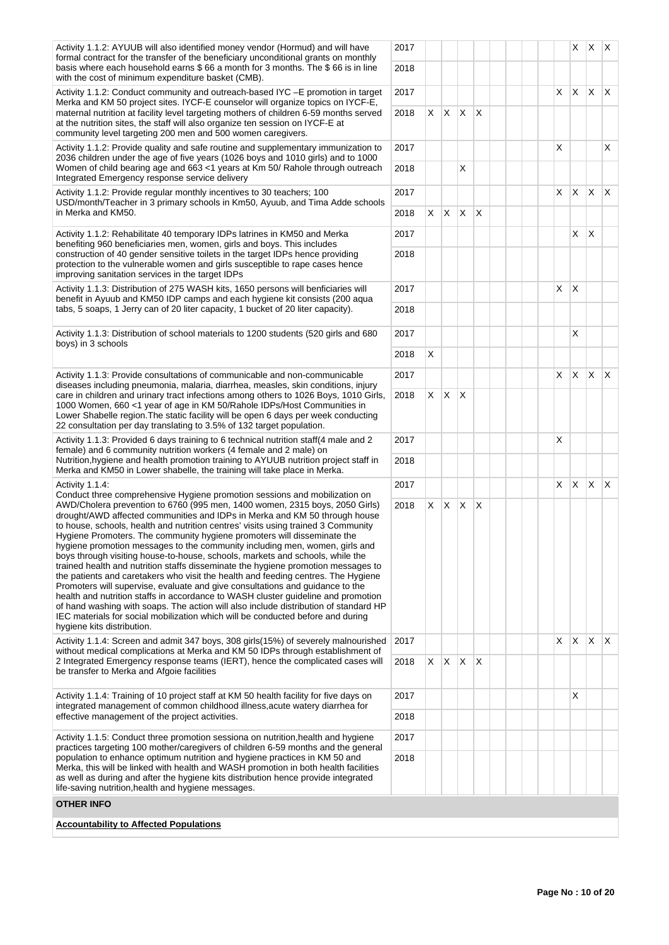| Activity 1.1.2: AYUUB will also identified money vendor (Hormud) and will have<br>formal contract for the transfer of the beneficiary unconditional grants on monthly                                                                                                                                                                                                                                                                                                                                                                                                                                                                                                                                                                                                                                                                                                                                                                                                                                                                              | 2017 |    |              |                         |              |  |    |              | $X \mid X \mid X$ |              |
|----------------------------------------------------------------------------------------------------------------------------------------------------------------------------------------------------------------------------------------------------------------------------------------------------------------------------------------------------------------------------------------------------------------------------------------------------------------------------------------------------------------------------------------------------------------------------------------------------------------------------------------------------------------------------------------------------------------------------------------------------------------------------------------------------------------------------------------------------------------------------------------------------------------------------------------------------------------------------------------------------------------------------------------------------|------|----|--------------|-------------------------|--------------|--|----|--------------|-------------------|--------------|
| basis where each household earns \$66 a month for 3 months. The \$66 is in line<br>with the cost of minimum expenditure basket (CMB).                                                                                                                                                                                                                                                                                                                                                                                                                                                                                                                                                                                                                                                                                                                                                                                                                                                                                                              | 2018 |    |              |                         |              |  |    |              |                   |              |
| Activity 1.1.2: Conduct community and outreach-based IYC - E promotion in target<br>Merka and KM 50 project sites. IYCF-E counselor will organize topics on IYCF-E,                                                                                                                                                                                                                                                                                                                                                                                                                                                                                                                                                                                                                                                                                                                                                                                                                                                                                | 2017 |    |              |                         |              |  | X  | $\mathsf{X}$ | $\mathsf{X}$      | $\mathsf{X}$ |
| maternal nutrition at facility level targeting mothers of children 6-59 months served<br>at the nutrition sites, the staff will also organize ten session on IYCF-E at<br>community level targeting 200 men and 500 women caregivers.                                                                                                                                                                                                                                                                                                                                                                                                                                                                                                                                                                                                                                                                                                                                                                                                              | 2018 | X  | X            | $\mathsf{X}$            | $\mathsf{X}$ |  |    |              |                   |              |
| Activity 1.1.2: Provide quality and safe routine and supplementary immunization to<br>2036 children under the age of five years (1026 boys and 1010 girls) and to 1000                                                                                                                                                                                                                                                                                                                                                                                                                                                                                                                                                                                                                                                                                                                                                                                                                                                                             | 2017 |    |              |                         |              |  | X  |              |                   | X            |
| Women of child bearing age and 663 <1 years at Km 50/ Rahole through outreach<br>Integrated Emergency response service delivery                                                                                                                                                                                                                                                                                                                                                                                                                                                                                                                                                                                                                                                                                                                                                                                                                                                                                                                    | 2018 |    |              | Χ                       |              |  |    |              |                   |              |
| Activity 1.1.2: Provide regular monthly incentives to 30 teachers; 100<br>USD/month/Teacher in 3 primary schools in Km50, Ayuub, and Tima Adde schools                                                                                                                                                                                                                                                                                                                                                                                                                                                                                                                                                                                                                                                                                                                                                                                                                                                                                             | 2017 |    |              |                         |              |  | X  | $\mathsf{X}$ | $\mathsf{X}$      | X            |
| in Merka and KM50.                                                                                                                                                                                                                                                                                                                                                                                                                                                                                                                                                                                                                                                                                                                                                                                                                                                                                                                                                                                                                                 | 2018 | X. | $X$ $X$      |                         | $\mathsf{X}$ |  |    |              |                   |              |
| Activity 1.1.2: Rehabilitate 40 temporary IDPs latrines in KM50 and Merka<br>benefiting 960 beneficiaries men, women, girls and boys. This includes                                                                                                                                                                                                                                                                                                                                                                                                                                                                                                                                                                                                                                                                                                                                                                                                                                                                                                | 2017 |    |              |                         |              |  |    | X            | $\mathsf{X}$      |              |
| construction of 40 gender sensitive toilets in the target IDPs hence providing<br>protection to the vulnerable women and girls susceptible to rape cases hence<br>improving sanitation services in the target IDPs                                                                                                                                                                                                                                                                                                                                                                                                                                                                                                                                                                                                                                                                                                                                                                                                                                 | 2018 |    |              |                         |              |  |    |              |                   |              |
| Activity 1.1.3: Distribution of 275 WASH kits, 1650 persons will benficiaries will<br>benefit in Ayuub and KM50 IDP camps and each hygiene kit consists (200 aqua                                                                                                                                                                                                                                                                                                                                                                                                                                                                                                                                                                                                                                                                                                                                                                                                                                                                                  | 2017 |    |              |                         |              |  | X  | $\mathsf{X}$ |                   |              |
| tabs, 5 soaps, 1 Jerry can of 20 liter capacity, 1 bucket of 20 liter capacity).                                                                                                                                                                                                                                                                                                                                                                                                                                                                                                                                                                                                                                                                                                                                                                                                                                                                                                                                                                   | 2018 |    |              |                         |              |  |    |              |                   |              |
| Activity 1.1.3: Distribution of school materials to 1200 students (520 girls and 680<br>boys) in 3 schools                                                                                                                                                                                                                                                                                                                                                                                                                                                                                                                                                                                                                                                                                                                                                                                                                                                                                                                                         | 2017 |    |              |                         |              |  |    | Χ            |                   |              |
|                                                                                                                                                                                                                                                                                                                                                                                                                                                                                                                                                                                                                                                                                                                                                                                                                                                                                                                                                                                                                                                    | 2018 | X  |              |                         |              |  |    |              |                   |              |
| Activity 1.1.3: Provide consultations of communicable and non-communicable<br>diseases including pneumonia, malaria, diarrhea, measles, skin conditions, injury                                                                                                                                                                                                                                                                                                                                                                                                                                                                                                                                                                                                                                                                                                                                                                                                                                                                                    | 2017 |    |              |                         |              |  | X. | $\mathsf{X}$ | X X               |              |
| care in children and urinary tract infections among others to 1026 Boys, 1010 Girls,<br>1000 Women, 660 <1 year of age in KM 50/Rahole IDPs/Host Communities in<br>Lower Shabelle region. The static facility will be open 6 days per week conducting<br>22 consultation per day translating to 3.5% of 132 target population.                                                                                                                                                                                                                                                                                                                                                                                                                                                                                                                                                                                                                                                                                                                     | 2018 | X  | $\mathsf{X}$ | $\mathsf{I} \mathsf{X}$ |              |  |    |              |                   |              |
| Activity 1.1.3: Provided 6 days training to 6 technical nutrition staff(4 male and 2<br>female) and 6 community nutrition workers (4 female and 2 male) on                                                                                                                                                                                                                                                                                                                                                                                                                                                                                                                                                                                                                                                                                                                                                                                                                                                                                         | 2017 |    |              |                         |              |  | X  |              |                   |              |
| Nutrition, hygiene and health promotion training to AYUUB nutrition project staff in<br>Merka and KM50 in Lower shabelle, the training will take place in Merka.                                                                                                                                                                                                                                                                                                                                                                                                                                                                                                                                                                                                                                                                                                                                                                                                                                                                                   | 2018 |    |              |                         |              |  |    |              |                   |              |
| Activity 1.1.4:<br>Conduct three comprehensive Hygiene promotion sessions and mobilization on                                                                                                                                                                                                                                                                                                                                                                                                                                                                                                                                                                                                                                                                                                                                                                                                                                                                                                                                                      | 2017 |    |              |                         |              |  | X  | $\mathsf{X}$ | $X$ $X$           |              |
| AWD/Cholera prevention to 6760 (995 men, 1400 women, 2315 boys, 2050 Girls)<br>drought/AWD affected communities and IDPs in Merka and KM 50 through house<br>to house, schools, health and nutrition centres' visits using trained 3 Community<br>Hygiene Promoters. The community hygiene promoters will disseminate the<br>hygiene promotion messages to the community including men, women, girls and<br>boys through visiting house-to-house, schools, markets and schools, while the<br>trained health and nutrition staffs disseminate the hygiene promotion messages to<br>the patients and caretakers who visit the health and feeding centres. The Hygiene<br>Promoters will supervise, evaluate and give consultations and guidance to the<br>health and nutrition staffs in accordance to WASH cluster guideline and promotion<br>of hand washing with soaps. The action will also include distribution of standard HP<br>IEC materials for social mobilization which will be conducted before and during<br>hygiene kits distribution. | 2018 |    | X X X X      |                         |              |  |    |              |                   |              |
| Activity 1.1.4: Screen and admit 347 boys, 308 girls (15%) of severely malnourished<br>without medical complications at Merka and KM 50 IDPs through establishment of                                                                                                                                                                                                                                                                                                                                                                                                                                                                                                                                                                                                                                                                                                                                                                                                                                                                              | 2017 |    |              |                         |              |  | X  | X.           | $\mathsf{X}$      | $\mathsf{X}$ |
| 2 Integrated Emergency response teams (IERT), hence the complicated cases will<br>be transfer to Merka and Afgoie facilities                                                                                                                                                                                                                                                                                                                                                                                                                                                                                                                                                                                                                                                                                                                                                                                                                                                                                                                       | 2018 | X. | $X$ $X$ $X$  |                         |              |  |    |              |                   |              |
| Activity 1.1.4: Training of 10 project staff at KM 50 health facility for five days on<br>integrated management of common childhood illness, acute watery diarrhea for                                                                                                                                                                                                                                                                                                                                                                                                                                                                                                                                                                                                                                                                                                                                                                                                                                                                             | 2017 |    |              |                         |              |  |    | X.           |                   |              |
| effective management of the project activities.                                                                                                                                                                                                                                                                                                                                                                                                                                                                                                                                                                                                                                                                                                                                                                                                                                                                                                                                                                                                    | 2018 |    |              |                         |              |  |    |              |                   |              |
| Activity 1.1.5: Conduct three promotion sessiona on nutrition, health and hygiene<br>practices targeting 100 mother/caregivers of children 6-59 months and the general                                                                                                                                                                                                                                                                                                                                                                                                                                                                                                                                                                                                                                                                                                                                                                                                                                                                             | 2017 |    |              |                         |              |  |    |              |                   |              |
| population to enhance optimum nutrition and hygiene practices in KM 50 and<br>Merka, this will be linked with health and WASH promotion in both health facilities<br>as well as during and after the hygiene kits distribution hence provide integrated<br>life-saving nutrition, health and hygiene messages.                                                                                                                                                                                                                                                                                                                                                                                                                                                                                                                                                                                                                                                                                                                                     | 2018 |    |              |                         |              |  |    |              |                   |              |
| <b>OTHER INFO</b>                                                                                                                                                                                                                                                                                                                                                                                                                                                                                                                                                                                                                                                                                                                                                                                                                                                                                                                                                                                                                                  |      |    |              |                         |              |  |    |              |                   |              |
| <b>Accountability to Affected Populations</b>                                                                                                                                                                                                                                                                                                                                                                                                                                                                                                                                                                                                                                                                                                                                                                                                                                                                                                                                                                                                      |      |    |              |                         |              |  |    |              |                   |              |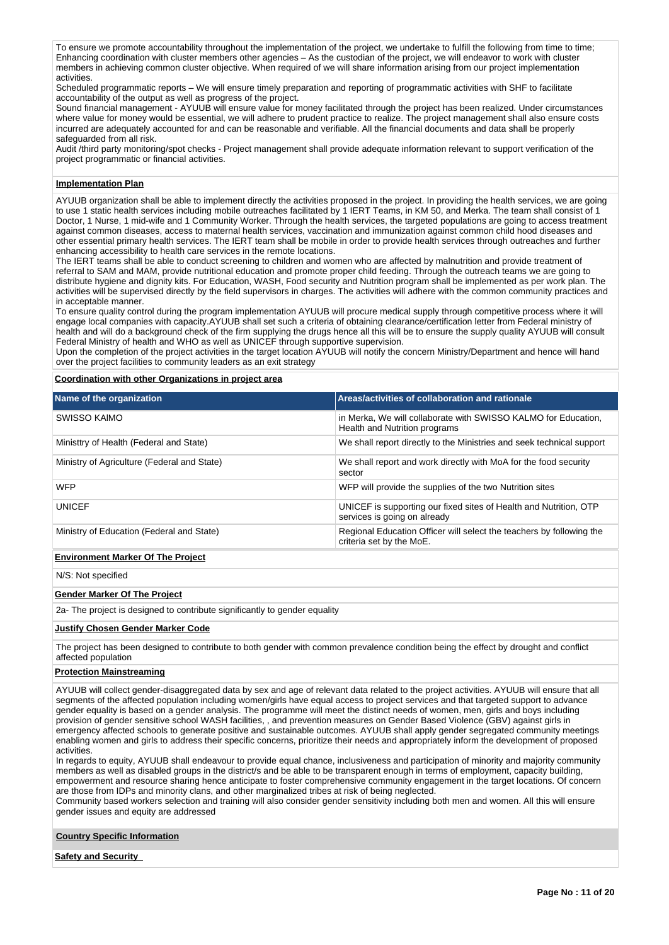To ensure we promote accountability throughout the implementation of the project, we undertake to fulfill the following from time to time; Enhancing coordination with cluster members other agencies – As the custodian of the project, we will endeavor to work with cluster members in achieving common cluster objective. When required of we will share information arising from our project implementation activities.

Scheduled programmatic reports – We will ensure timely preparation and reporting of programmatic activities with SHF to facilitate accountability of the output as well as progress of the project.

Sound financial management - AYUUB will ensure value for money facilitated through the project has been realized. Under circumstances where value for money would be essential, we will adhere to prudent practice to realize. The project management shall also ensure costs incurred are adequately accounted for and can be reasonable and verifiable. All the financial documents and data shall be properly safeguarded from all risk.

Audit /third party monitoring/spot checks - Project management shall provide adequate information relevant to support verification of the project programmatic or financial activities.

## **Implementation Plan**

AYUUB organization shall be able to implement directly the activities proposed in the project. In providing the health services, we are going to use 1 static health services including mobile outreaches facilitated by 1 IERT Teams, in KM 50, and Merka. The team shall consist of 1 Doctor, 1 Nurse, 1 mid-wife and 1 Community Worker. Through the health services, the targeted populations are going to access treatment against common diseases, access to maternal health services, vaccination and immunization against common child hood diseases and other essential primary health services. The IERT team shall be mobile in order to provide health services through outreaches and further enhancing accessibility to health care services in the remote locations.

The IERT teams shall be able to conduct screening to children and women who are affected by malnutrition and provide treatment of referral to SAM and MAM, provide nutritional education and promote proper child feeding. Through the outreach teams we are going to distribute hygiene and dignity kits. For Education, WASH, Food security and Nutrition program shall be implemented as per work plan. The activities will be supervised directly by the field supervisors in charges. The activities will adhere with the common community practices and in acceptable manner.

To ensure quality control during the program implementation AYUUB will procure medical supply through competitive process where it will engage local companies with capacity.AYUUB shall set such a criteria of obtaining clearance/certification letter from Federal ministry of health and will do a background check of the firm supplying the drugs hence all this will be to ensure the supply quality AYUUB will consult Federal Ministry of health and WHO as well as UNICEF through supportive supervision.

Upon the completion of the project activities in the target location AYUUB will notify the concern Ministry/Department and hence will hand over the project facilities to community leaders as an exit strategy

#### **Coordination with other Organizations in project area**

| Name of the organization                    | Areas/activities of collaboration and rationale                                                   |
|---------------------------------------------|---------------------------------------------------------------------------------------------------|
| SWISSO KAIMO                                | in Merka, We will collaborate with SWISSO KALMO for Education,<br>Health and Nutrition programs   |
| Ministtry of Health (Federal and State)     | We shall report directly to the Ministries and seek technical support                             |
| Ministry of Agriculture (Federal and State) | We shall report and work directly with MoA for the food security<br>sector                        |
| <b>WFP</b>                                  | WFP will provide the supplies of the two Nutrition sites                                          |
| <b>UNICEF</b>                               | UNICEF is supporting our fixed sites of Health and Nutrition, OTP<br>services is going on already |
| Ministry of Education (Federal and State)   | Regional Education Officer will select the teachers by following the<br>criteria set by the MoE.  |
| <b>Environment Marker Of The Project</b>    |                                                                                                   |

N/S: Not specified

## **Gender Marker Of The Project**

2a- The project is designed to contribute significantly to gender equality

#### **Justify Chosen Gender Marker Code**

The project has been designed to contribute to both gender with common prevalence condition being the effect by drought and conflict affected population

#### **Protection Mainstreaming**

AYUUB will collect gender-disaggregated data by sex and age of relevant data related to the project activities. AYUUB will ensure that all segments of the affected population including women/girls have equal access to project services and that targeted support to advance gender equality is based on a gender analysis. The programme will meet the distinct needs of women, men, girls and boys including provision of gender sensitive school WASH facilities, , and prevention measures on Gender Based Violence (GBV) against girls in emergency affected schools to generate positive and sustainable outcomes. AYUUB shall apply gender segregated community meetings enabling women and girls to address their specific concerns, prioritize their needs and appropriately inform the development of proposed activities.

In regards to equity, AYUUB shall endeavour to provide equal chance, inclusiveness and participation of minority and majority community members as well as disabled groups in the district/s and be able to be transparent enough in terms of employment, capacity building, empowerment and resource sharing hence anticipate to foster comprehensive community engagement in the target locations. Of concern are those from IDPs and minority clans, and other marginalized tribes at risk of being neglected.

Community based workers selection and training will also consider gender sensitivity including both men and women. All this will ensure gender issues and equity are addressed

## **Country Specific Information**

**Safety and Security**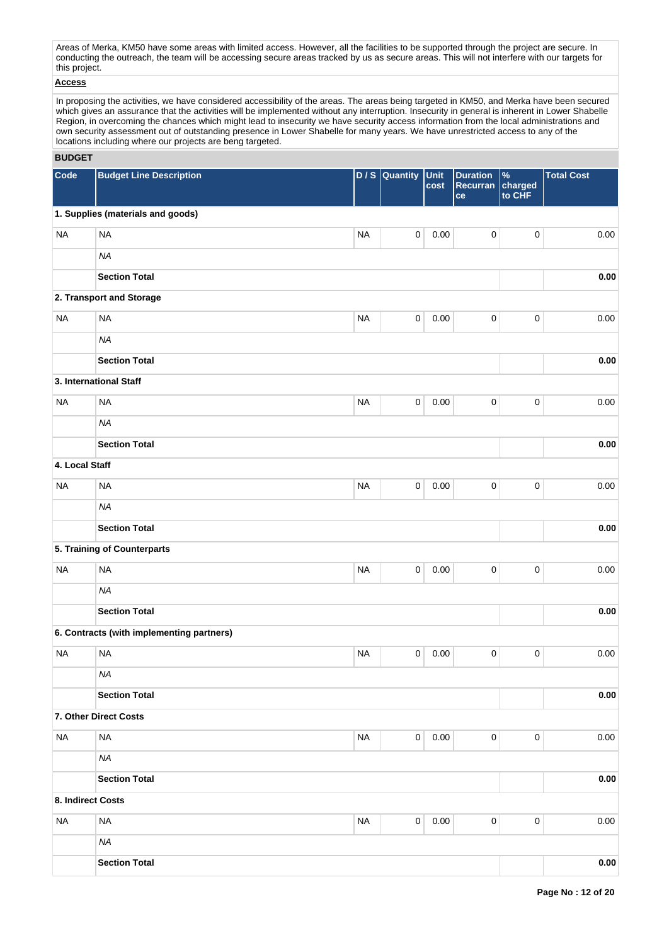Areas of Merka, KM50 have some areas with limited access. However, all the facilities to be supported through the project are secure. In conducting the outreach, the team will be accessing secure areas tracked by us as secure areas. This will not interfere with our targets for this project.

## **Access**

In proposing the activities, we have considered accessibility of the areas. The areas being targeted in KM50, and Merka have been secured which gives an assurance that the activities will be implemented without any interruption. Insecurity in general is inherent in Lower Shabelle Region, in overcoming the chances which might lead to insecurity we have security access information from the local administrations and own security assessment out of outstanding presence in Lower Shabelle for many years. We have unrestricted access to any of the locations including where our projects are beng targeted.

## **BUDGET**

| Code              | <b>Budget Line Description</b>            | DIS       | Quantity            | Unit<br>cost | <b>Duration</b><br>Recurran<br>ce | $\%$<br>charged<br>to CHF | <b>Total Cost</b> |
|-------------------|-------------------------------------------|-----------|---------------------|--------------|-----------------------------------|---------------------------|-------------------|
|                   | 1. Supplies (materials and goods)         |           |                     |              |                                   |                           |                   |
| <b>NA</b>         | <b>NA</b>                                 | <b>NA</b> | $\pmb{0}$           | 0.00         | $\pmb{0}$                         | $\mathbf 0$               | 0.00              |
|                   | <b>NA</b>                                 |           |                     |              |                                   |                           |                   |
|                   | <b>Section Total</b>                      |           |                     |              |                                   |                           | 0.00              |
|                   | 2. Transport and Storage                  |           |                     |              |                                   |                           |                   |
| <b>NA</b>         | <b>NA</b>                                 | <b>NA</b> | $\pmb{0}$           | 0.00         | $\pmb{0}$                         | $\mathbf 0$               | 0.00              |
|                   | <b>NA</b>                                 |           |                     |              |                                   |                           |                   |
|                   | <b>Section Total</b>                      |           |                     |              |                                   |                           | 0.00              |
|                   | 3. International Staff                    |           |                     |              |                                   |                           |                   |
| <b>NA</b>         | <b>NA</b>                                 | <b>NA</b> | $\pmb{0}$           | 0.00         | $\pmb{0}$                         | $\pmb{0}$                 | 0.00              |
|                   | <b>NA</b>                                 |           |                     |              |                                   |                           |                   |
|                   | <b>Section Total</b>                      |           |                     |              |                                   |                           | 0.00              |
| 4. Local Staff    |                                           |           |                     |              |                                   |                           |                   |
| <b>NA</b>         | <b>NA</b>                                 | <b>NA</b> | $\mathsf{O}\xspace$ | 0.00         | $\pmb{0}$                         | $\pmb{0}$                 | 0.00              |
|                   | <b>NA</b>                                 |           |                     |              |                                   |                           |                   |
|                   | <b>Section Total</b>                      |           |                     |              |                                   |                           | 0.00              |
|                   | 5. Training of Counterparts               |           |                     |              |                                   |                           |                   |
| <b>NA</b>         | <b>NA</b>                                 | <b>NA</b> | $\mathsf 0$         | 0.00         | $\mathbf 0$                       | $\pmb{0}$                 | 0.00              |
|                   | <b>NA</b>                                 |           |                     |              |                                   |                           |                   |
|                   | <b>Section Total</b>                      |           |                     |              |                                   |                           | 0.00              |
|                   | 6. Contracts (with implementing partners) |           |                     |              |                                   |                           |                   |
| <b>NA</b>         | <b>NA</b>                                 | <b>NA</b> | $\pmb{0}$           | 0.00         | $\pmb{0}$                         | $\pmb{0}$                 | 0.00              |
|                   | <b>NA</b>                                 |           |                     |              |                                   |                           |                   |
|                   | <b>Section Total</b>                      |           |                     |              |                                   |                           | 0.00              |
|                   | 7. Other Direct Costs                     |           |                     |              |                                   |                           |                   |
| <b>NA</b>         | <b>NA</b>                                 | <b>NA</b> | $\mathsf 0$         | 0.00         | $\mathbf 0$                       | $\pmb{0}$                 | 0.00              |
|                   | <b>NA</b>                                 |           |                     |              |                                   |                           |                   |
|                   | <b>Section Total</b>                      |           |                     |              |                                   |                           | 0.00              |
| 8. Indirect Costs |                                           |           |                     |              |                                   |                           |                   |
| <b>NA</b>         | <b>NA</b>                                 | <b>NA</b> | $\pmb{0}$           | 0.00         | $\pmb{0}$                         | $\pmb{0}$                 | 0.00              |
|                   | <b>NA</b>                                 |           |                     |              |                                   |                           |                   |
|                   | <b>Section Total</b>                      |           |                     |              |                                   |                           | $0.00\,$          |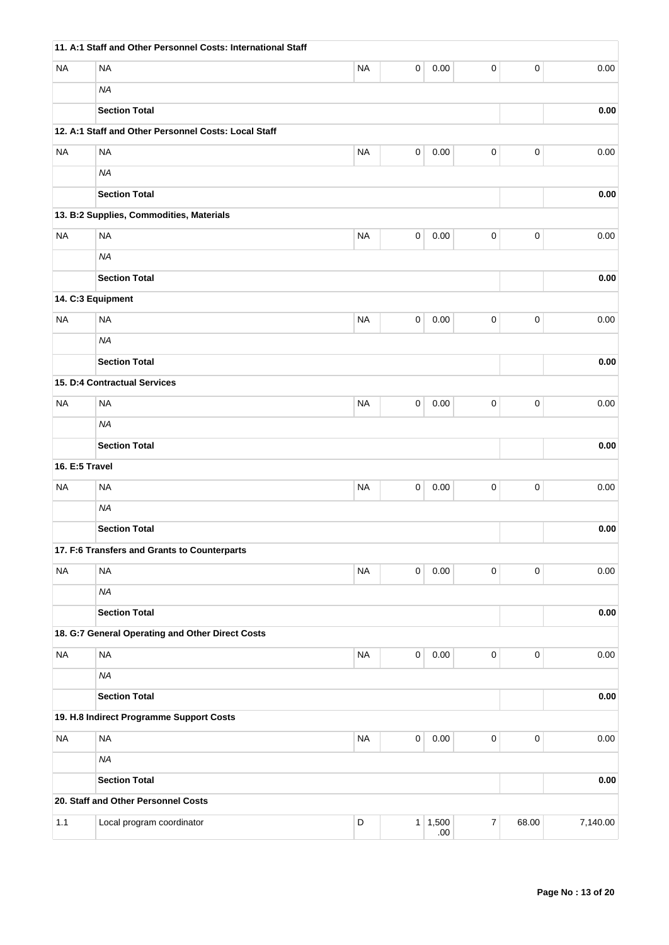|                | 11. A:1 Staff and Other Personnel Costs: International Staff |             |           |                 |                  |                     |          |
|----------------|--------------------------------------------------------------|-------------|-----------|-----------------|------------------|---------------------|----------|
| <b>NA</b>      | <b>NA</b>                                                    | <b>NA</b>   | 0         | 0.00            | 0                | $\mathbf 0$         | 0.00     |
|                | <b>NA</b>                                                    |             |           |                 |                  |                     |          |
|                | <b>Section Total</b>                                         |             |           |                 |                  |                     | 0.00     |
|                | 12. A:1 Staff and Other Personnel Costs: Local Staff         |             |           |                 |                  |                     |          |
| <b>NA</b>      | <b>NA</b>                                                    | <b>NA</b>   | $\pmb{0}$ | 0.00            | $\pmb{0}$        | $\mathbf 0$         | 0.00     |
|                | <b>NA</b>                                                    |             |           |                 |                  |                     |          |
|                | <b>Section Total</b>                                         |             |           |                 |                  |                     | 0.00     |
|                | 13. B:2 Supplies, Commodities, Materials                     |             |           |                 |                  |                     |          |
| <b>NA</b>      | <b>NA</b>                                                    | <b>NA</b>   | $\pmb{0}$ | 0.00            | $\pmb{0}$        | $\pmb{0}$           | 0.00     |
|                | <b>NA</b>                                                    |             |           |                 |                  |                     |          |
|                | <b>Section Total</b>                                         |             |           |                 |                  |                     | 0.00     |
|                | 14. C:3 Equipment                                            |             |           |                 |                  |                     |          |
| <b>NA</b>      | <b>NA</b>                                                    | <b>NA</b>   | 0         | 0.00            | $\pmb{0}$        | $\mathbf 0$         | 0.00     |
|                | <b>NA</b>                                                    |             |           |                 |                  |                     |          |
|                | <b>Section Total</b>                                         |             |           |                 |                  |                     | 0.00     |
|                | 15. D:4 Contractual Services                                 |             |           |                 |                  |                     |          |
| <b>NA</b>      | <b>NA</b>                                                    | <b>NA</b>   | 0         | 0.00            | $\pmb{0}$        | $\mathsf{O}\xspace$ | 0.00     |
|                | <b>NA</b>                                                    |             |           |                 |                  |                     |          |
|                | <b>Section Total</b>                                         |             |           |                 |                  |                     | 0.00     |
| 16. E:5 Travel |                                                              |             |           |                 |                  |                     |          |
| <b>NA</b>      | <b>NA</b>                                                    | <b>NA</b>   | 0         | 0.00            | $\mathbf 0$      | $\pmb{0}$           | 0.00     |
|                | <b>NA</b>                                                    |             |           |                 |                  |                     |          |
|                | <b>Section Total</b>                                         |             |           |                 |                  |                     | 0.00     |
|                | 17. F:6 Transfers and Grants to Counterparts                 |             |           |                 |                  |                     |          |
| <b>NA</b>      | <b>NA</b>                                                    | <b>NA</b>   | $\pmb{0}$ | 0.00            | $\pmb{0}$        | $\mathbf 0$         | 0.00     |
|                | <b>NA</b>                                                    |             |           |                 |                  |                     |          |
|                | <b>Section Total</b>                                         |             |           |                 |                  |                     | 0.00     |
|                | 18. G:7 General Operating and Other Direct Costs             |             |           |                 |                  |                     |          |
| <b>NA</b>      | <b>NA</b>                                                    | <b>NA</b>   | 0         | 0.00            | $\pmb{0}$        | $\mathbf 0$         | 0.00     |
|                | <b>NA</b>                                                    |             |           |                 |                  |                     |          |
|                | <b>Section Total</b>                                         |             |           |                 |                  |                     | 0.00     |
|                | 19. H.8 Indirect Programme Support Costs                     |             |           |                 |                  |                     |          |
| <b>NA</b>      | <b>NA</b>                                                    | <b>NA</b>   | $\pmb{0}$ | $0.00\,$        | $\pmb{0}$        | $\mathbf 0$         | 0.00     |
|                | <b>NA</b>                                                    |             |           |                 |                  |                     |          |
|                | <b>Section Total</b>                                         |             |           |                 |                  |                     | 0.00     |
|                | 20. Staff and Other Personnel Costs                          |             |           |                 |                  |                     |          |
| 1.1            | Local program coordinator                                    | $\mathsf D$ |           | 1 1,500<br>.00. | $\boldsymbol{7}$ | 68.00               | 7,140.00 |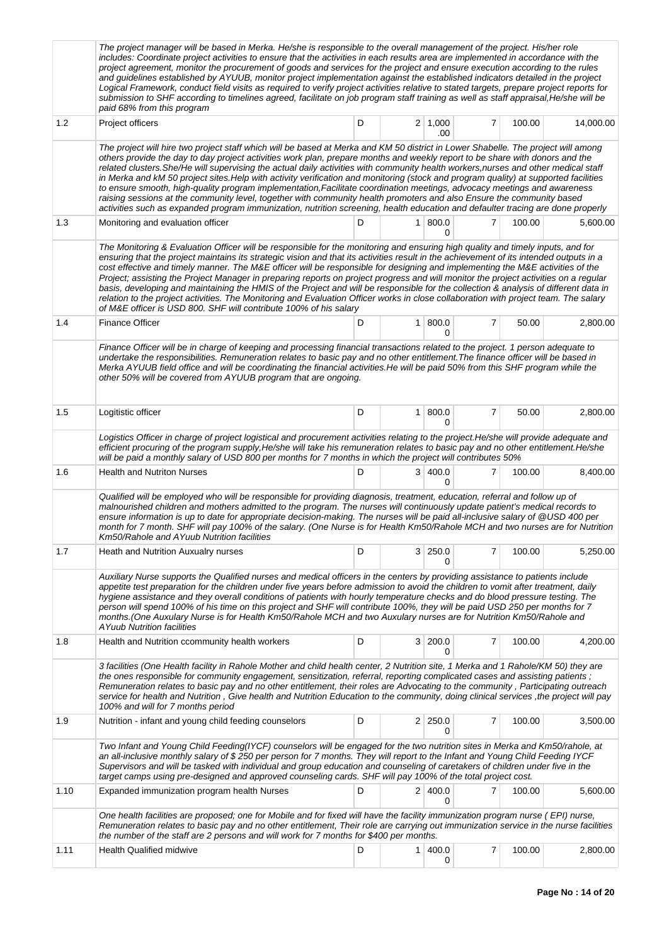|      | The project manager will be based in Merka. He/she is responsible to the overall management of the project. His/her role<br>includes: Coordinate project activities to ensure that the activities in each results area are implemented in accordance with the<br>project agreement, monitor the procurement of goods and services for the project and ensure execution according to the rules<br>and guidelines established by AYUUB, monitor project implementation against the established indicators detailed in the project<br>Logical Framework, conduct field visits as required to verify project activities relative to stated targets, prepare project reports for<br>submission to SHF according to timelines agreed, facilitate on job program staff training as well as staff appraisal, He/she will be<br>paid 68% from this program                                                                                        |   |  |                            |   |        |           |  |  |  |  |
|------|------------------------------------------------------------------------------------------------------------------------------------------------------------------------------------------------------------------------------------------------------------------------------------------------------------------------------------------------------------------------------------------------------------------------------------------------------------------------------------------------------------------------------------------------------------------------------------------------------------------------------------------------------------------------------------------------------------------------------------------------------------------------------------------------------------------------------------------------------------------------------------------------------------------------------------------|---|--|----------------------------|---|--------|-----------|--|--|--|--|
| 1.2  | Project officers                                                                                                                                                                                                                                                                                                                                                                                                                                                                                                                                                                                                                                                                                                                                                                                                                                                                                                                         | D |  | $2 \mid 1,000$<br>.00      | 7 | 100.00 | 14,000.00 |  |  |  |  |
|      | The project will hire two project staff which will be based at Merka and KM 50 district in Lower Shabelle. The project will among<br>others provide the day to day project activities work plan, prepare months and weekly report to be share with donors and the<br>related clusters. She/He will supervising the actual daily activities with community health workers, nurses and other medical staff<br>in Merka and kM 50 project sites. Help with activity verification and monitoring (stock and program quality) at supported facilities<br>to ensure smooth, high-quality program implementation, Facilitate coordination meetings, advocacy meetings and awareness<br>raising sessions at the community level, together with community health promoters and also Ensure the community based<br>activities such as expanded program immunization, nutrition screening, health education and defaulter tracing are done properly |   |  |                            |   |        |           |  |  |  |  |
| 1.3  | Monitoring and evaluation officer                                                                                                                                                                                                                                                                                                                                                                                                                                                                                                                                                                                                                                                                                                                                                                                                                                                                                                        | D |  | 1   800.0<br>0             | 7 | 100.00 | 5,600.00  |  |  |  |  |
|      | The Monitoring & Evaluation Officer will be responsible for the monitoring and ensuring high quality and timely inputs, and for<br>ensuring that the project maintains its strategic vision and that its activities result in the achievement of its intended outputs in a<br>cost effective and timely manner. The M&E officer will be responsible for designing and implementing the M&E activities of the<br>Project; assisting the Project Manager in preparing reports on project progress and will monitor the project activities on a regular<br>basis, developing and maintaining the HMIS of the Project and will be responsible for the collection & analysis of different data in<br>relation to the project activities. The Monitoring and Evaluation Officer works in close collaboration with project team. The salary<br>of M&E officer is USD 800. SHF will contribute 100% of his salary                                |   |  |                            |   |        |           |  |  |  |  |
| 1.4  | <b>Finance Officer</b>                                                                                                                                                                                                                                                                                                                                                                                                                                                                                                                                                                                                                                                                                                                                                                                                                                                                                                                   | D |  | 1   800.0<br>0             | 7 | 50.00  | 2,800.00  |  |  |  |  |
|      | Finance Officer will be in charge of keeping and processing financial transactions related to the project. 1 person adequate to<br>undertake the responsibilities. Remuneration relates to basic pay and no other entitlement. The finance officer will be based in<br>Merka AYUUB field office and will be coordinating the financial activities. He will be paid 50% from this SHF program while the<br>other 50% will be covered from AYUUB program that are ongoing.                                                                                                                                                                                                                                                                                                                                                                                                                                                                 |   |  |                            |   |        |           |  |  |  |  |
| 1.5  | Logitistic officer                                                                                                                                                                                                                                                                                                                                                                                                                                                                                                                                                                                                                                                                                                                                                                                                                                                                                                                       | D |  | 1   800.0<br>0             | 7 | 50.00  | 2,800.00  |  |  |  |  |
|      | Logistics Officer in charge of project logistical and procurement activities relating to the project.He/she will provide adequate and<br>efficient procuring of the program supply, He/she will take his remuneration relates to basic pay and no other entitlement. He/she<br>will be paid a monthly salary of USD 800 per months for 7 months in which the project will contributes 50%                                                                                                                                                                                                                                                                                                                                                                                                                                                                                                                                                |   |  |                            |   |        |           |  |  |  |  |
| 1.6  | <b>Health and Nutriton Nurses</b>                                                                                                                                                                                                                                                                                                                                                                                                                                                                                                                                                                                                                                                                                                                                                                                                                                                                                                        | D |  | 3 400.0<br>0               | 7 | 100.00 | 8,400.00  |  |  |  |  |
|      | Qualified will be employed who will be responsible for providing diagnosis, treatment, education, referral and follow up of<br>malnourished children and mothers admitted to the program. The nurses will continuously update patient's medical records to<br>ensure information is up to date for appropriate decision-making. The nurses will be paid all-inclusive salary of @USD 400 per<br>month for 7 month. SHF will pay 100% of the salary. (One Nurse is for Health Km50/Rahole MCH and two nurses are for Nutrition<br>Km50/Rahole and AYuub Nutrition facilities                                                                                                                                                                                                                                                                                                                                                              |   |  |                            |   |        |           |  |  |  |  |
| 1.7  | Heath and Nutrition Auxualry nurses                                                                                                                                                                                                                                                                                                                                                                                                                                                                                                                                                                                                                                                                                                                                                                                                                                                                                                      | D |  | 3 250.0<br>0               | 7 | 100.00 | 5,250.00  |  |  |  |  |
|      | Auxiliary Nurse supports the Qualified nurses and medical officers in the centers by providing assistance to patients include<br>appetite test preparation for the children under five years before admission to avoid the children to vomit after treatment, daily<br>hygiene assistance and they overall conditions of patients with hourly temperature checks and do blood pressure testing. The<br>person will spend 100% of his time on this project and SHF will contribute 100%, they will be paid USD 250 per months for 7<br>months. (One Auxulary Nurse is for Health Km50/Rahole MCH and two Auxulary nurses are for Nutrition Km50/Rahole and<br>A Yuub Nutrition facilities                                                                                                                                                                                                                                                 |   |  |                            |   |        |           |  |  |  |  |
| 1.8  | Health and Nutrition ccommunity health workers                                                                                                                                                                                                                                                                                                                                                                                                                                                                                                                                                                                                                                                                                                                                                                                                                                                                                           | D |  | 3 200.0<br>0               | 7 | 100.00 | 4,200.00  |  |  |  |  |
|      | 3 facilities (One Health facility in Rahole Mother and child health center, 2 Nutrition site, 1 Merka and 1 Rahole/KM 50) they are<br>the ones responsible for community engagement, sensitization, referral, reporting complicated cases and assisting patients;<br>Remuneration relates to basic pay and no other entitlement, their roles are Advocating to the community, Participating outreach<br>service for health and Nutrition, Give health and Nutrition Education to the community, doing clinical services, the project will pay<br>100% and will for 7 months period                                                                                                                                                                                                                                                                                                                                                       |   |  |                            |   |        |           |  |  |  |  |
| 1.9  | Nutrition - infant and young child feeding counselors                                                                                                                                                                                                                                                                                                                                                                                                                                                                                                                                                                                                                                                                                                                                                                                                                                                                                    | D |  | $2 \mid 250.0$<br>$\Omega$ | 7 | 100.00 | 3,500.00  |  |  |  |  |
|      | Two Infant and Young Child Feeding(IYCF) counselors will be engaged for the two nutrition sites in Merka and Km50/rahole, at<br>an all-inclusive monthly salary of \$250 per person for 7 months. They will report to the Infant and Young Child Feeding IYCF<br>Supervisors and will be tasked with individual and group education and counseling of caretakers of children under five in the<br>target camps using pre-designed and approved counseling cards. SHF will pay 100% of the total project cost.                                                                                                                                                                                                                                                                                                                                                                                                                            |   |  |                            |   |        |           |  |  |  |  |
| 1.10 | Expanded immunization program health Nurses                                                                                                                                                                                                                                                                                                                                                                                                                                                                                                                                                                                                                                                                                                                                                                                                                                                                                              | D |  | 2 400.0<br>0               | 7 | 100.00 | 5,600.00  |  |  |  |  |
|      | One health facilities are proposed; one for Mobile and for fixed will have the facility immunization program nurse (EPI) nurse,<br>Remuneration relates to basic pay and no other entitlement, Their role are carrying out immunization service in the nurse facilities<br>the number of the staff are 2 persons and will work for 7 months for \$400 per months.                                                                                                                                                                                                                                                                                                                                                                                                                                                                                                                                                                        |   |  |                            |   |        |           |  |  |  |  |
| 1.11 | Health Qualified midwive                                                                                                                                                                                                                                                                                                                                                                                                                                                                                                                                                                                                                                                                                                                                                                                                                                                                                                                 | D |  | 1   400.0<br>0             | 7 | 100.00 | 2,800.00  |  |  |  |  |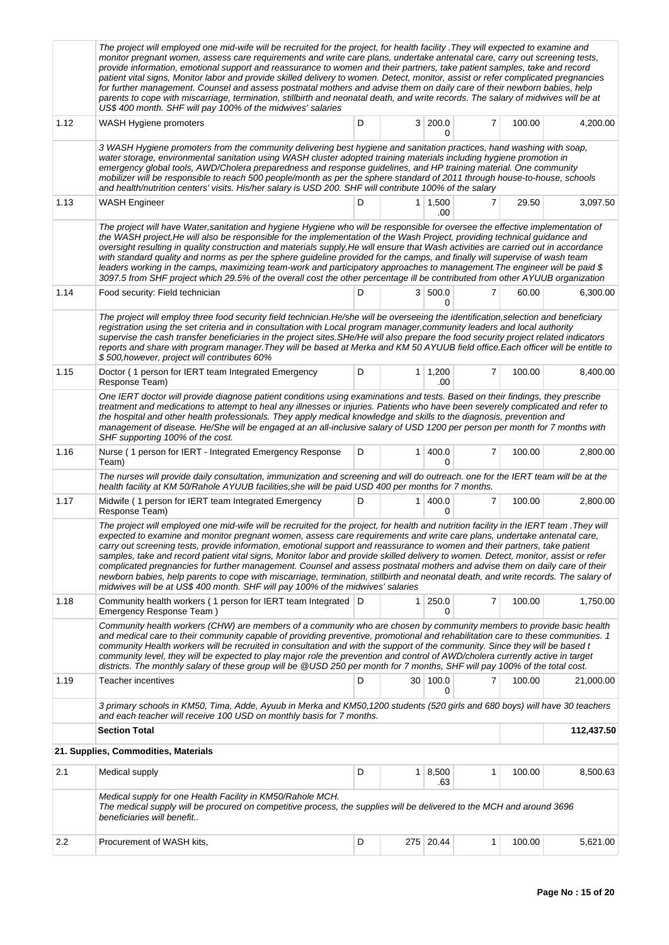|      | The project will employed one mid-wife will be recruited for the project, for health facility .They will expected to examine and<br>monitor pregnant women, assess care requirements and write care plans, undertake antenatal care, carry out screening tests,<br>provide information, emotional support and reassurance to women and their partners, take patient samples, take and record<br>patient vital signs, Monitor labor and provide skilled delivery to women. Detect, monitor, assist or refer complicated pregnancies<br>for further management. Counsel and assess postnatal mothers and advise them on daily care of their newborn babies, help<br>parents to cope with miscarriage, termination, stillbirth and neonatal death, and write records. The salary of midwives will be at<br>US\$ 400 month. SHF will pay 100% of the midwives' salaries                                |   |                |                       |                |        |            |  |  |  |  |
|------|----------------------------------------------------------------------------------------------------------------------------------------------------------------------------------------------------------------------------------------------------------------------------------------------------------------------------------------------------------------------------------------------------------------------------------------------------------------------------------------------------------------------------------------------------------------------------------------------------------------------------------------------------------------------------------------------------------------------------------------------------------------------------------------------------------------------------------------------------------------------------------------------------|---|----------------|-----------------------|----------------|--------|------------|--|--|--|--|
| 1.12 | WASH Hygiene promoters                                                                                                                                                                                                                                                                                                                                                                                                                                                                                                                                                                                                                                                                                                                                                                                                                                                                             | D |                | 3 200.0<br>0          | 7              | 100.00 | 4,200.00   |  |  |  |  |
|      | 3 WASH Hygiene promoters from the community delivering best hygiene and sanitation practices, hand washing with soap,<br>water storage, environmental sanitation using WASH cluster adopted training materials including hygiene promotion in<br>emergency global tools, AWD/Cholera preparedness and response guidelines, and HP training material. One community<br>mobilizer will be responsible to reach 500 people/month as per the sphere standard of 2011 through house-to-house, schools<br>and health/nutrition centers' visits. His/her salary is USD 200. SHF will contribute 100% of the salary                                                                                                                                                                                                                                                                                        |   |                |                       |                |        |            |  |  |  |  |
| 1.13 | <b>WASH Engineer</b>                                                                                                                                                                                                                                                                                                                                                                                                                                                                                                                                                                                                                                                                                                                                                                                                                                                                               | D |                | $1 \mid 1,500$<br>.00 | 7              | 29.50  | 3,097.50   |  |  |  |  |
|      | The project will have Water, sanitation and hygiene Hygiene who will be responsible for oversee the effective implementation of<br>the WASH project, He will also be responsible for the implementation of the Wash Project, providing technical guidance and<br>oversight resulting in quality construction and materials supply, He will ensure that Wash activities are carried out in accordance<br>with standard quality and norms as per the sphere guideline provided for the camps, and finally will supervise of wash team<br>leaders working in the camps, maximizing team-work and participatory approaches to management. The engineer will be paid \$<br>3097.5 from SHF project which 29.5% of the overall cost the other percentage ill be contributed from other AYUUB organization                                                                                                |   |                |                       |                |        |            |  |  |  |  |
| 1.14 | Food security: Field technician                                                                                                                                                                                                                                                                                                                                                                                                                                                                                                                                                                                                                                                                                                                                                                                                                                                                    | D |                | 3   500.0<br>0        | 7              | 60.00  | 6,300.00   |  |  |  |  |
|      | The project will employ three food security field technician. He/she will be overseeing the identification, selection and beneficiary<br>registration using the set criteria and in consultation with Local program manager, community leaders and local authority<br>supervise the cash transfer beneficiaries in the project sites. SHe/He will also prepare the food security project related indicators<br>reports and share with program manager. They will be based at Merka and KM 50 AYUUB field office. Each officer will be entitle to<br>\$500, however, project will contributes 60%                                                                                                                                                                                                                                                                                                   |   |                |                       |                |        |            |  |  |  |  |
| 1.15 | Doctor (1 person for IERT team Integrated Emergency<br>Response Team)                                                                                                                                                                                                                                                                                                                                                                                                                                                                                                                                                                                                                                                                                                                                                                                                                              | D |                | $1 \mid 1,200$<br>.00 | 7              | 100.00 | 8,400.00   |  |  |  |  |
|      | One IERT doctor will provide diagnose patient conditions using examinations and tests. Based on their findings, they prescribe<br>treatment and medications to attempt to heal any illnesses or injuries. Patients who have been severely complicated and refer to<br>the hospital and other health professionals. They apply medical knowledge and skills to the diagnosis, prevention and<br>management of disease. He/She will be engaged at an all-inclusive salary of USD 1200 per person per month for 7 months with<br>SHF supporting 100% of the cost.                                                                                                                                                                                                                                                                                                                                     |   |                |                       |                |        |            |  |  |  |  |
| 1.16 | Nurse (1 person for IERT - Integrated Emergency Response<br>Team)                                                                                                                                                                                                                                                                                                                                                                                                                                                                                                                                                                                                                                                                                                                                                                                                                                  | D | 1 <sup>1</sup> | 400.0<br>0            | $\overline{7}$ | 100.00 | 2,800.00   |  |  |  |  |
|      | The nurses will provide daily consultation, immunization and screening and will do outreach. one for the IERT team will be at the<br>health facility at KM 50/Rahole AYUUB facilities, she will be paid USD 400 per months for 7 months.                                                                                                                                                                                                                                                                                                                                                                                                                                                                                                                                                                                                                                                           |   |                |                       |                |        |            |  |  |  |  |
| 1.17 | Midwife (1 person for IERT team Integrated Emergency<br>Response Team)                                                                                                                                                                                                                                                                                                                                                                                                                                                                                                                                                                                                                                                                                                                                                                                                                             | D |                | 1   400.0<br>0        | 7              | 100.00 | 2,800.00   |  |  |  |  |
|      | The project will employed one mid-wife will be recruited for the project, for health and nutrition facility in the IERT team .They will<br>expected to examine and monitor pregnant women, assess care requirements and write care plans, undertake antenatal care,<br>carry out screening tests, provide information, emotional support and reassurance to women and their partners, take patient<br>samples, take and record patient vital signs, Monitor labor and provide skilled delivery to women. Detect, monitor, assist or refer<br>complicated pregnancies for further management. Counsel and assess postnatal mothers and advise them on daily care of their<br>newborn babies, help parents to cope with miscarriage, termination, stillbirth and neonatal death, and write records. The salary of<br>midwives will be at US\$ 400 month. SHF will pay 100% of the midwives' salaries |   |                |                       |                |        |            |  |  |  |  |
| 1.18 | Community health workers (1 person for IERT team Integrated D<br>Emergency Response Team)                                                                                                                                                                                                                                                                                                                                                                                                                                                                                                                                                                                                                                                                                                                                                                                                          |   | 1 <sup>1</sup> | 250.0<br>0            | 7              | 100.00 | 1,750.00   |  |  |  |  |
|      | Community health workers (CHW) are members of a community who are chosen by community members to provide basic health<br>and medical care to their community capable of providing preventive, promotional and rehabilitation care to these communities. 1<br>community Health workers will be recruited in consultation and with the support of the community. Since they will be based t<br>community level, they will be expected to play major role the prevention and control of AWD/cholera currently active in target<br>districts. The monthly salary of these group will be @USD 250 per month for 7 months, SHF will pay 100% of the total cost.                                                                                                                                                                                                                                          |   |                |                       |                |        |            |  |  |  |  |
| 1.19 | Teacher incentives                                                                                                                                                                                                                                                                                                                                                                                                                                                                                                                                                                                                                                                                                                                                                                                                                                                                                 | D |                | 30 100.0<br>0         | 7              | 100.00 | 21,000.00  |  |  |  |  |
|      | 3 primary schools in KM50, Tima, Adde, Ayuub in Merka and KM50,1200 students (520 girls and 680 boys) will have 30 teachers<br>and each teacher will receive 100 USD on monthly basis for 7 months.                                                                                                                                                                                                                                                                                                                                                                                                                                                                                                                                                                                                                                                                                                |   |                |                       |                |        |            |  |  |  |  |
|      | <b>Section Total</b>                                                                                                                                                                                                                                                                                                                                                                                                                                                                                                                                                                                                                                                                                                                                                                                                                                                                               |   |                |                       |                |        | 112,437.50 |  |  |  |  |
|      | 21. Supplies, Commodities, Materials                                                                                                                                                                                                                                                                                                                                                                                                                                                                                                                                                                                                                                                                                                                                                                                                                                                               |   |                |                       |                |        |            |  |  |  |  |
| 2.1  | Medical supply                                                                                                                                                                                                                                                                                                                                                                                                                                                                                                                                                                                                                                                                                                                                                                                                                                                                                     | D | 1              | 8,500<br>.63          | 1              | 100.00 | 8,500.63   |  |  |  |  |
|      | Medical supply for one Health Facility in KM50/Rahole MCH.<br>The medical supply will be procured on competitive process, the supplies will be delivered to the MCH and around 3696<br>beneficiaries will benefit                                                                                                                                                                                                                                                                                                                                                                                                                                                                                                                                                                                                                                                                                  |   |                |                       |                |        |            |  |  |  |  |
| 2.2  | Procurement of WASH kits,                                                                                                                                                                                                                                                                                                                                                                                                                                                                                                                                                                                                                                                                                                                                                                                                                                                                          | D |                | 275 20.44             | 1              | 100.00 | 5,621.00   |  |  |  |  |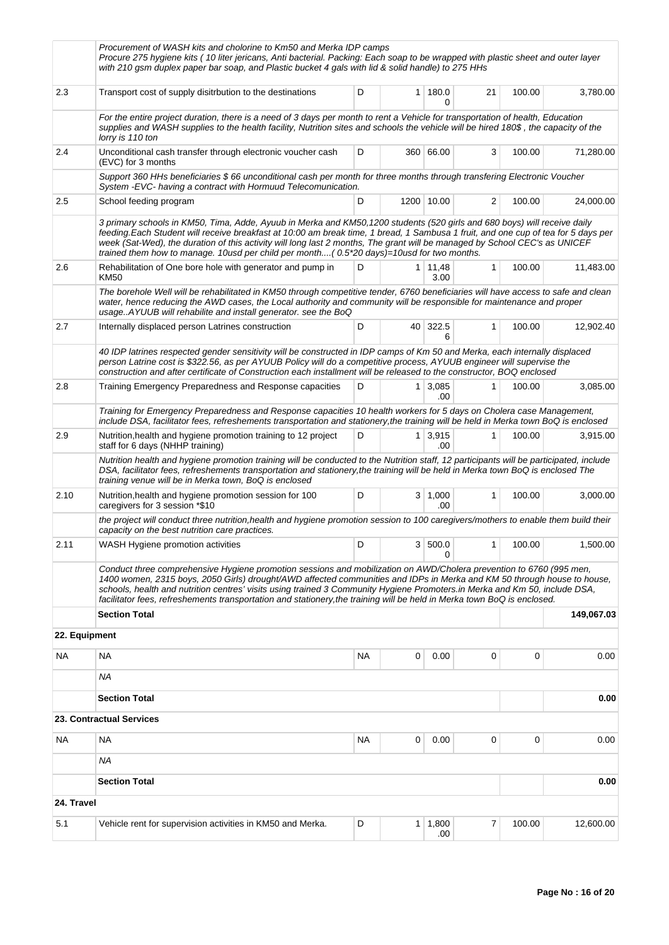|               | Procurement of WASH kits and cholorine to Km50 and Merka IDP camps<br>Procure 275 hygiene kits (10 liter jericans, Anti bacterial. Packing: Each soap to be wrapped with plastic sheet and outer layer<br>with 210 gsm duplex paper bar soap, and Plastic bucket 4 gals with lid & solid handle) to 275 HHs                                                                                                                                                                                             |           |                |                        |              |           |            |
|---------------|---------------------------------------------------------------------------------------------------------------------------------------------------------------------------------------------------------------------------------------------------------------------------------------------------------------------------------------------------------------------------------------------------------------------------------------------------------------------------------------------------------|-----------|----------------|------------------------|--------------|-----------|------------|
| 2.3           | Transport cost of supply disitrbution to the destinations                                                                                                                                                                                                                                                                                                                                                                                                                                               | D         |                | 1   180.0<br>0         | 21           | 100.00    | 3,780.00   |
|               | For the entire project duration, there is a need of 3 days per month to rent a Vehicle for transportation of health, Education<br>supplies and WASH supplies to the health facility, Nutrition sites and schools the vehicle will be hired 180\$, the capacity of the<br>lorry is 110 ton                                                                                                                                                                                                               |           |                |                        |              |           |            |
| 2.4           | Unconditional cash transfer through electronic voucher cash<br>(EVC) for 3 months                                                                                                                                                                                                                                                                                                                                                                                                                       | D         |                | 360 66.00              | 3            | 100.00    | 71,280.00  |
|               | Support 360 HHs beneficiaries \$66 unconditional cash per month for three months through transfering Electronic Voucher<br>System - EVC- having a contract with Hormuud Telecomunication.                                                                                                                                                                                                                                                                                                               |           |                |                        |              |           |            |
| 2.5           | School feeding program                                                                                                                                                                                                                                                                                                                                                                                                                                                                                  | D         |                | 1200 10.00             | 2            | 100.00    | 24,000.00  |
|               | 3 primary schools in KM50, Tima, Adde, Ayuub in Merka and KM50,1200 students (520 girls and 680 boys) will receive daily<br>feeding.Each Student will receive breakfast at 10:00 am break time, 1 bread, 1 Sambusa 1 fruit, and one cup of tea for 5 days per<br>week (Sat-Wed), the duration of this activity will long last 2 months, The grant will be managed by School CEC's as UNICEF<br>trained them how to manage. 10usd per child per month( 0.5*20 days)=10usd for two months.                |           |                |                        |              |           |            |
| 2.6           | Rehabilitation of One bore hole with generator and pump in<br>KM50                                                                                                                                                                                                                                                                                                                                                                                                                                      | D         |                | $1 \mid 11,48$<br>3.00 | $\mathbf{1}$ | 100.00    | 11,483.00  |
|               | The borehole Well will be rehabilitated in KM50 through competitive tender, 6760 beneficiaries will have access to safe and clean<br>water, hence reducing the AWD cases, the Local authority and community will be responsible for maintenance and proper<br>usageAYUUB will rehabilite and install generator. see the BoQ                                                                                                                                                                             |           |                |                        |              |           |            |
| 2.7           | Internally displaced person Latrines construction                                                                                                                                                                                                                                                                                                                                                                                                                                                       | D         |                | 40 322.5<br>6          | $\mathbf{1}$ | 100.00    | 12,902.40  |
|               | 40 IDP latrines respected gender sensitivity will be constructed in IDP camps of Km 50 and Merka, each internally displaced<br>person Latrine cost is \$322.56, as per AYUUB Policy will do a competitive process, AYUUB engineer will supervise the<br>construction and after certificate of Construction each installment will be released to the constructor, BOQ enclosed                                                                                                                           |           |                |                        |              |           |            |
| 2.8           | Training Emergency Preparedness and Response capacities                                                                                                                                                                                                                                                                                                                                                                                                                                                 | D         | 1 <sup>1</sup> | 3,085<br>.00           | 1            | 100.00    | 3,085.00   |
|               | Training for Emergency Preparedness and Response capacities 10 health workers for 5 days on Cholera case Management,<br>include DSA, facilitator fees, refreshements transportation and stationery, the training will be held in Merka town BoQ is enclosed                                                                                                                                                                                                                                             |           |                |                        |              |           |            |
| 2.9           | Nutrition, health and hygiene promotion training to 12 project<br>staff for 6 days (NHHP training)                                                                                                                                                                                                                                                                                                                                                                                                      | D         |                | $1 \mid 3.915$<br>.00  | $\mathbf{1}$ | 100.00    | 3,915.00   |
|               | Nutrition health and hygiene promotion training will be conducted to the Nutrition staff, 12 participants will be participated, include<br>DSA, facilitator fees, refreshements transportation and stationery, the training will be held in Merka town BoQ is enclosed The<br>training venue will be in Merka town, BoQ is enclosed                                                                                                                                                                     |           |                |                        |              |           |            |
| 2.10          | Nutrition, health and hygiene promotion session for 100<br>caregivers for 3 session *\$10                                                                                                                                                                                                                                                                                                                                                                                                               | D         |                | 3   1,000<br>.00       | 1            | 100.00    | 3,000.00   |
|               | the project will conduct three nutrition, health and hygiene promotion session to 100 caregivers/mothers to enable them build their<br>capacity on the best nutrition care practices.                                                                                                                                                                                                                                                                                                                   |           |                |                        |              |           |            |
| 2.11          | WASH Hygiene promotion activities                                                                                                                                                                                                                                                                                                                                                                                                                                                                       | D         |                | 3   500.0  <br>0       |              | 1  100.00 | 1,500.00   |
|               | Conduct three comprehensive Hygiene promotion sessions and mobilization on AWD/Cholera prevention to 6760 (995 men,<br>1400 women, 2315 boys, 2050 Girls) drought/AWD affected communities and IDPs in Merka and KM 50 through house to house,<br>schools, health and nutrition centres' visits using trained 3 Community Hygiene Promoters.in Merka and Km 50, include DSA,<br>facilitator fees, refreshements transportation and stationery, the training will be held in Merka town BoQ is enclosed. |           |                |                        |              |           |            |
|               | <b>Section Total</b>                                                                                                                                                                                                                                                                                                                                                                                                                                                                                    |           |                |                        |              |           | 149,067.03 |
| 22. Equipment |                                                                                                                                                                                                                                                                                                                                                                                                                                                                                                         |           |                |                        |              |           |            |
| NA            | NA                                                                                                                                                                                                                                                                                                                                                                                                                                                                                                      | <b>NA</b> | 0              | 0.00                   | 0            | 0         | 0.00       |
|               | <b>NA</b>                                                                                                                                                                                                                                                                                                                                                                                                                                                                                               |           |                |                        |              |           |            |
|               | <b>Section Total</b>                                                                                                                                                                                                                                                                                                                                                                                                                                                                                    |           |                |                        |              |           | 0.00       |
|               | 23. Contractual Services                                                                                                                                                                                                                                                                                                                                                                                                                                                                                |           |                |                        |              |           |            |
| NA            | NA                                                                                                                                                                                                                                                                                                                                                                                                                                                                                                      | <b>NA</b> | 0              | 0.00                   | 0            | 0         | 0.00       |
|               | ΝA                                                                                                                                                                                                                                                                                                                                                                                                                                                                                                      |           |                |                        |              |           |            |
|               | <b>Section Total</b>                                                                                                                                                                                                                                                                                                                                                                                                                                                                                    |           |                |                        |              |           | 0.00       |
| 24. Travel    |                                                                                                                                                                                                                                                                                                                                                                                                                                                                                                         |           |                |                        |              |           |            |
| 5.1           | Vehicle rent for supervision activities in KM50 and Merka.                                                                                                                                                                                                                                                                                                                                                                                                                                              | D         | 1 <sup>1</sup> | 1,800<br>.00           | 7            | 100.00    | 12,600.00  |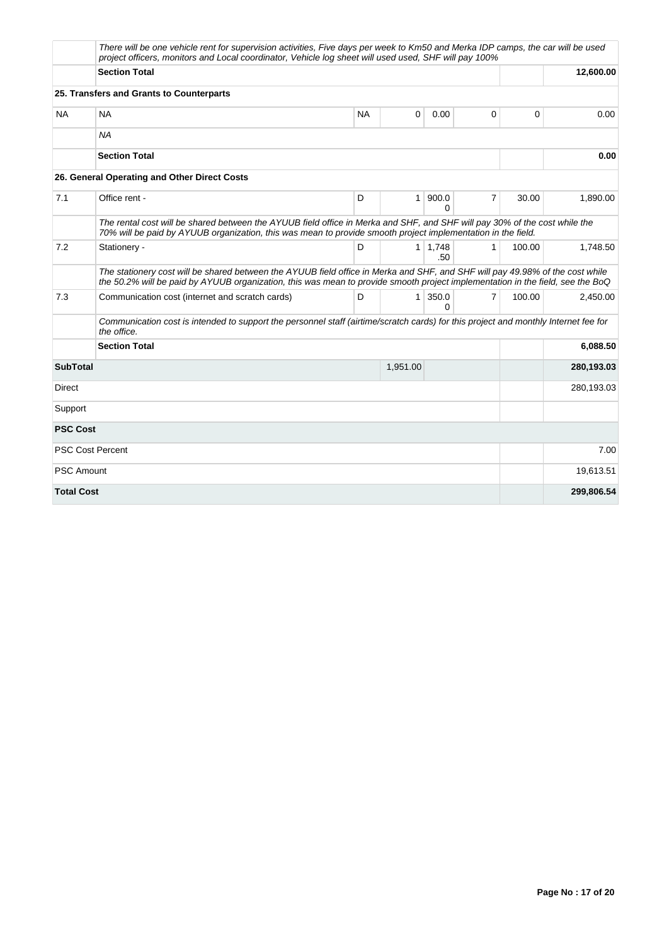|                   | There will be one vehicle rent for supervision activities, Five days per week to Km50 and Merka IDP camps, the car will be used<br>project officers, monitors and Local coordinator, Vehicle log sheet will used used, SHF will pay 100%                        |           |                |                       |   |          |            |
|-------------------|-----------------------------------------------------------------------------------------------------------------------------------------------------------------------------------------------------------------------------------------------------------------|-----------|----------------|-----------------------|---|----------|------------|
|                   | <b>Section Total</b>                                                                                                                                                                                                                                            |           |                |                       |   |          | 12,600.00  |
|                   | 25. Transfers and Grants to Counterparts                                                                                                                                                                                                                        |           |                |                       |   |          |            |
| NA.               | <b>NA</b>                                                                                                                                                                                                                                                       | <b>NA</b> | $\Omega$       | 0.00                  | 0 | $\Omega$ | 0.00       |
|                   | <b>NA</b>                                                                                                                                                                                                                                                       |           |                |                       |   |          |            |
|                   | <b>Section Total</b>                                                                                                                                                                                                                                            |           |                |                       |   |          | 0.00       |
|                   | 26. General Operating and Other Direct Costs                                                                                                                                                                                                                    |           |                |                       |   |          |            |
| 7.1               | Office rent -                                                                                                                                                                                                                                                   | D         | $\mathbf{1}$   | 900.0<br>$\Omega$     | 7 | 30.00    | 1,890.00   |
|                   | The rental cost will be shared between the AYUUB field office in Merka and SHF, and SHF will pay 30% of the cost while the<br>70% will be paid by AYUUB organization, this was mean to provide smooth project implementation in the field.                      |           |                |                       |   |          |            |
| 7.2               | Stationery -                                                                                                                                                                                                                                                    | D         |                | $1 \mid 1,748$<br>.50 | 1 | 100.00   | 1,748.50   |
|                   | The stationery cost will be shared between the AYUUB field office in Merka and SHF, and SHF will pay 49.98% of the cost while<br>the 50.2% will be paid by AYUUB organization, this was mean to provide smooth project implementation in the field, see the BoQ |           |                |                       |   |          |            |
| 7.3               | Communication cost (internet and scratch cards)                                                                                                                                                                                                                 | D         | 1 <sup>1</sup> | 350.0<br>$\Omega$     | 7 | 100.00   | 2,450.00   |
|                   | Communication cost is intended to support the personnel staff (airtime/scratch cards) for this project and monthly Internet fee for<br>the office.                                                                                                              |           |                |                       |   |          |            |
|                   | <b>Section Total</b>                                                                                                                                                                                                                                            |           |                |                       |   |          | 6,088.50   |
| <b>SubTotal</b>   |                                                                                                                                                                                                                                                                 |           | 1,951.00       |                       |   |          | 280,193.03 |
| Direct            |                                                                                                                                                                                                                                                                 |           |                |                       |   |          | 280,193.03 |
| Support           |                                                                                                                                                                                                                                                                 |           |                |                       |   |          |            |
| <b>PSC Cost</b>   |                                                                                                                                                                                                                                                                 |           |                |                       |   |          |            |
|                   | <b>PSC Cost Percent</b>                                                                                                                                                                                                                                         |           |                |                       |   |          | 7.00       |
| <b>PSC Amount</b> |                                                                                                                                                                                                                                                                 |           |                |                       |   |          | 19,613.51  |
| <b>Total Cost</b> |                                                                                                                                                                                                                                                                 |           |                |                       |   |          | 299,806.54 |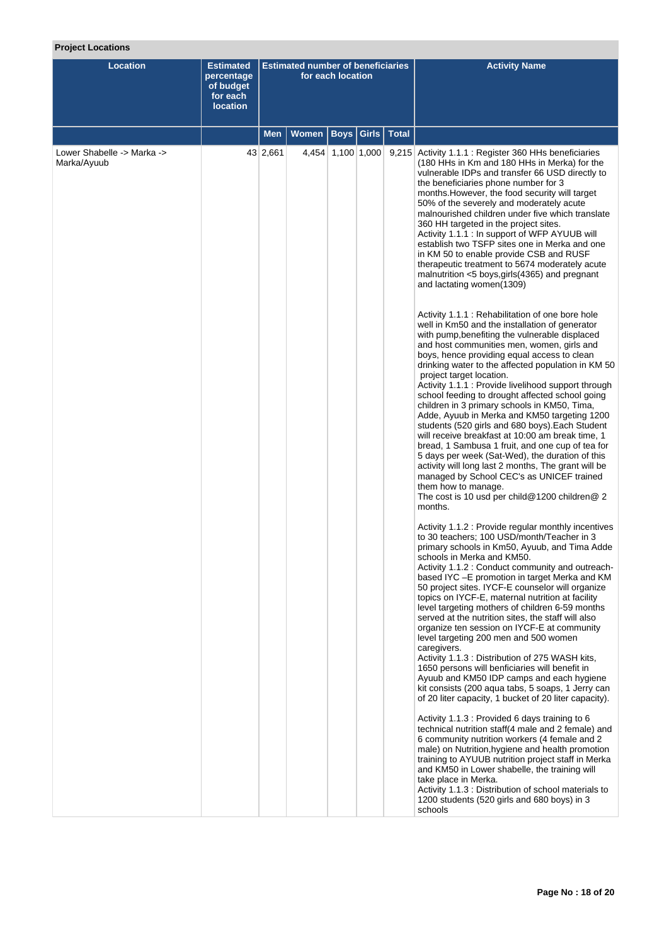# **Project Locations**

| Location                                  | <b>Estimated</b><br>percentage<br>of budget<br>for each<br><b>location</b> |          | <b>Estimated number of beneficiaries</b> | for each location |                      | <b>Activity Name</b>                                                                                                                                                                                                                                                                                                                                                                                                                                                                                                                                                                                                                                                                                                                                                                                                                                                                                                                                                                                                                                                                                                                                                                                                                                                                                                                                                                                                                                                                                                                                                                                                                                                                                                                                                                                                                                                                                                                                                                                                                                                                                                                                                                                                                                                                                                                                                                                                                                                                                                                                                                                                                                                                                                                                                                                                                   |
|-------------------------------------------|----------------------------------------------------------------------------|----------|------------------------------------------|-------------------|----------------------|----------------------------------------------------------------------------------------------------------------------------------------------------------------------------------------------------------------------------------------------------------------------------------------------------------------------------------------------------------------------------------------------------------------------------------------------------------------------------------------------------------------------------------------------------------------------------------------------------------------------------------------------------------------------------------------------------------------------------------------------------------------------------------------------------------------------------------------------------------------------------------------------------------------------------------------------------------------------------------------------------------------------------------------------------------------------------------------------------------------------------------------------------------------------------------------------------------------------------------------------------------------------------------------------------------------------------------------------------------------------------------------------------------------------------------------------------------------------------------------------------------------------------------------------------------------------------------------------------------------------------------------------------------------------------------------------------------------------------------------------------------------------------------------------------------------------------------------------------------------------------------------------------------------------------------------------------------------------------------------------------------------------------------------------------------------------------------------------------------------------------------------------------------------------------------------------------------------------------------------------------------------------------------------------------------------------------------------------------------------------------------------------------------------------------------------------------------------------------------------------------------------------------------------------------------------------------------------------------------------------------------------------------------------------------------------------------------------------------------------------------------------------------------------------------------------------------------------|
|                                           |                                                                            | Men      | Women                                    |                   | Boys   Girls   Total |                                                                                                                                                                                                                                                                                                                                                                                                                                                                                                                                                                                                                                                                                                                                                                                                                                                                                                                                                                                                                                                                                                                                                                                                                                                                                                                                                                                                                                                                                                                                                                                                                                                                                                                                                                                                                                                                                                                                                                                                                                                                                                                                                                                                                                                                                                                                                                                                                                                                                                                                                                                                                                                                                                                                                                                                                                        |
| Lower Shabelle -> Marka -><br>Marka/Ayuub |                                                                            | 43 2,661 |                                          | 4,454 1,100 1,000 |                      | 9,215 Activity 1.1.1 : Register 360 HHs beneficiaries<br>(180 HHs in Km and 180 HHs in Merka) for the<br>vulnerable IDPs and transfer 66 USD directly to<br>the beneficiaries phone number for 3<br>months. However, the food security will target<br>50% of the severely and moderately acute<br>malnourished children under five which translate<br>360 HH targeted in the project sites.<br>Activity 1.1.1 : In support of WFP AYUUB will<br>establish two TSFP sites one in Merka and one<br>in KM 50 to enable provide CSB and RUSF<br>therapeutic treatment to 5674 moderately acute<br>malnutrition <5 boys, girls (4365) and pregnant<br>and lactating women(1309)<br>Activity 1.1.1 : Rehabilitation of one bore hole<br>well in Km50 and the installation of generator<br>with pump, benefiting the vulnerable displaced<br>and host communities men, women, girls and<br>boys, hence providing equal access to clean<br>drinking water to the affected population in KM 50<br>project target location.<br>Activity 1.1.1 : Provide livelihood support through<br>school feeding to drought affected school going<br>children in 3 primary schools in KM50, Tima,<br>Adde, Ayuub in Merka and KM50 targeting 1200<br>students (520 girls and 680 boys). Each Student<br>will receive breakfast at 10:00 am break time, 1<br>bread, 1 Sambusa 1 fruit, and one cup of tea for<br>5 days per week (Sat-Wed), the duration of this<br>activity will long last 2 months, The grant will be<br>managed by School CEC's as UNICEF trained<br>them how to manage.<br>The cost is 10 usd per child@1200 children@ 2<br>months.<br>Activity 1.1.2 : Provide regular monthly incentives<br>to 30 teachers; 100 USD/month/Teacher in 3<br>primary schools in Km50, Ayuub, and Tima Adde<br>schools in Merka and KM50.<br>Activity 1.1.2 : Conduct community and outreach-<br>based IYC - E promotion in target Merka and KM<br>50 project sites. IYCF-E counselor will organize<br>topics on IYCF-E, maternal nutrition at facility<br>level targeting mothers of children 6-59 months<br>served at the nutrition sites, the staff will also<br>organize ten session on IYCF-E at community<br>level targeting 200 men and 500 women<br>caregivers.<br>Activity 1.1.3 : Distribution of 275 WASH kits,<br>1650 persons will benficiaries will benefit in<br>Ayuub and KM50 IDP camps and each hygiene<br>kit consists (200 aqua tabs, 5 soaps, 1 Jerry can<br>of 20 liter capacity, 1 bucket of 20 liter capacity).<br>Activity 1.1.3 : Provided 6 days training to 6<br>technical nutrition staff(4 male and 2 female) and<br>6 community nutrition workers (4 female and 2<br>male) on Nutrition, hygiene and health promotion<br>training to AYUUB nutrition project staff in Merka<br>and KM50 in Lower shabelle, the training will |
|                                           |                                                                            |          |                                          |                   |                      | take place in Merka.<br>Activity 1.1.3 : Distribution of school materials to<br>1200 students (520 girls and 680 boys) in 3<br>schools                                                                                                                                                                                                                                                                                                                                                                                                                                                                                                                                                                                                                                                                                                                                                                                                                                                                                                                                                                                                                                                                                                                                                                                                                                                                                                                                                                                                                                                                                                                                                                                                                                                                                                                                                                                                                                                                                                                                                                                                                                                                                                                                                                                                                                                                                                                                                                                                                                                                                                                                                                                                                                                                                                 |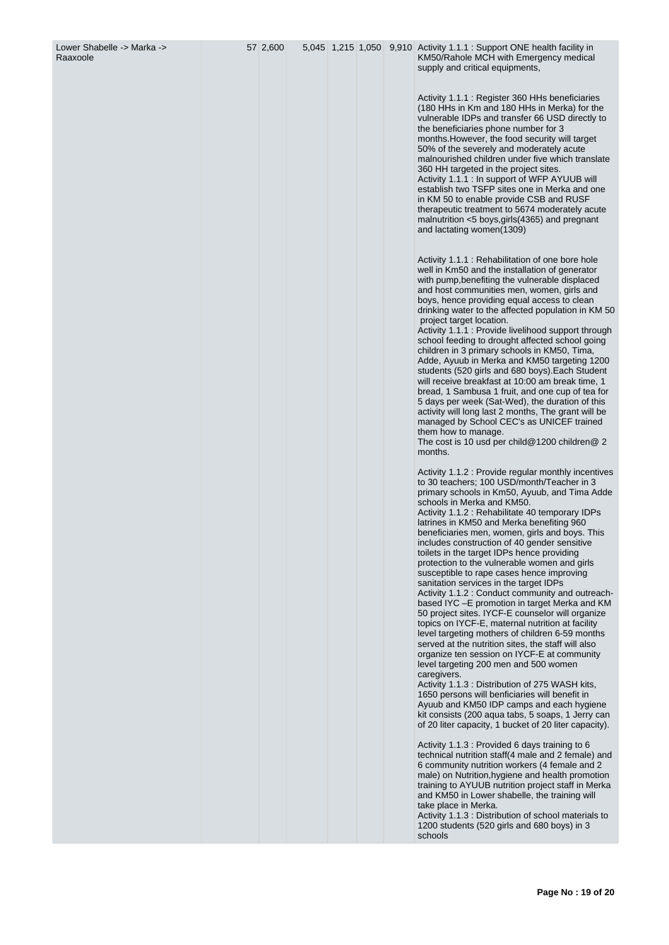57 2,600 5,045 1,215 1,050 9,910 Activity 1.1.1 : Support ONE health facility in KM50/Rahole MCH with Emergency medical supply and critical equipments,

> Activity 1.1.1 : Register 360 HHs beneficiaries (180 HHs in Km and 180 HHs in Merka) for the vulnerable IDPs and transfer 66 USD directly to the beneficiaries phone number for 3 months.However, the food security will target 50% of the severely and moderately acute malnourished children under five which translate 360 HH targeted in the project sites. Activity 1.1.1 : In support of WFP AYUUB will establish two TSFP sites one in Merka and one in KM 50 to enable provide CSB and RUSF therapeutic treatment to 5674 moderately acute malnutrition < 5 boys,girls(4365) and pregnant and lactating women(1309)

Activity 1.1.1 : Rehabilitation of one bore hole well in Km50 and the installation of generator with pump,benefiting the vulnerable displaced and host communities men, women, girls and boys, hence providing equal access to clean drinking water to the affected population in KM 50 project target location.

Activity 1.1.1 : Provide livelihood support through school feeding to drought affected school going children in 3 primary schools in KM50, Tima, Adde, Ayuub in Merka and KM50 targeting 1200 students (520 girls and 680 boys).Each Student will receive breakfast at 10:00 am break time, 1 bread, 1 Sambusa 1 fruit, and one cup of tea for 5 days per week (Sat-Wed), the duration of this activity will long last 2 months, The grant will be managed by School CEC's as UNICEF trained them how to manage.

The cost is 10 usd per child@1200 children@ 2 months.

Activity 1.1.2 : Provide regular monthly incentives to 30 teachers; 100 USD/month/Teacher in 3 primary schools in Km50, Ayuub, and Tima Adde schools in Merka and KM50.

Activity 1.1.2 : Rehabilitate 40 temporary IDPs latrines in KM50 and Merka benefiting 960 beneficiaries men, women, girls and boys. This includes construction of 40 gender sensitive toilets in the target IDPs hence providing protection to the vulnerable women and girls susceptible to rape cases hence improving sanitation services in the target IDPs Activity 1.1.2 : Conduct community and outreachbased IYC –E promotion in target Merka and KM 50 project sites. IYCF-E counselor will organize topics on IYCF-E, maternal nutrition at facility level targeting mothers of children 6-59 months served at the nutrition sites, the staff will also organize ten session on IYCF-E at community level targeting 200 men and 500 women caregivers.

Activity 1.1.3 : Distribution of 275 WASH kits, 1650 persons will benficiaries will benefit in Ayuub and KM50 IDP camps and each hygiene kit consists (200 aqua tabs, 5 soaps, 1 Jerry can of 20 liter capacity, 1 bucket of 20 liter capacity).

Activity 1.1.3 : Provided 6 days training to 6 technical nutrition staff( 4 male and 2 female) and 6 community nutrition workers ( 4 female and 2 male) on Nutrition,hygiene and health promotion training to AYUUB nutrition project staff in Merka and KM50 in Lower shabelle, the training will take place in Merka.

Activity 1.1.3 : Distribution of school materials to 1200 students (520 girls and 680 boys) in 3 schools